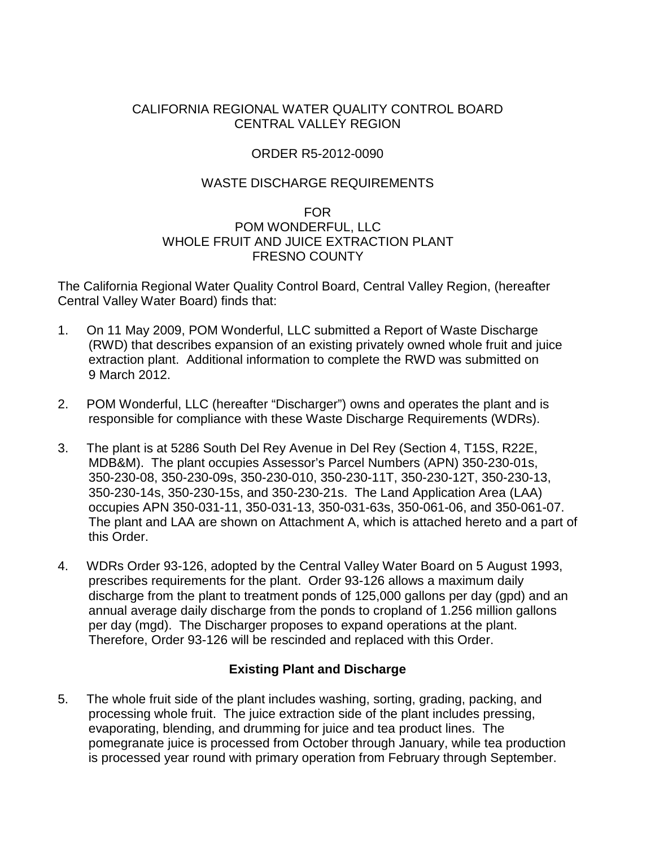## CALIFORNIA REGIONAL WATER QUALITY CONTROL BOARD CENTRAL VALLEY REGION

## ORDER R5-2012-0090

### WASTE DISCHARGE REQUIREMENTS

### FOR POM WONDERFUL, LLC WHOLE FRUIT AND JUICE EXTRACTION PLANT FRESNO COUNTY

The California Regional Water Quality Control Board, Central Valley Region, (hereafter Central Valley Water Board) finds that:

- 1. On 11 May 2009, POM Wonderful, LLC submitted a Report of Waste Discharge (RWD) that describes expansion of an existing privately owned whole fruit and juice extraction plant. Additional information to complete the RWD was submitted on 9 March 2012.
- 2. POM Wonderful, LLC (hereafter "Discharger") owns and operates the plant and is responsible for compliance with these Waste Discharge Requirements (WDRs).
- 3. The plant is at 5286 South Del Rey Avenue in Del Rey (Section 4, T15S, R22E, MDB&M). The plant occupies Assessor's Parcel Numbers (APN) 350-230-01s, 350-230-08, 350-230-09s, 350-230-010, 350-230-11T, 350-230-12T, 350-230-13, 350-230-14s, 350-230-15s, and 350-230-21s. The Land Application Area (LAA) occupies APN 350-031-11, 350-031-13, 350-031-63s, 350-061-06, and 350-061-07. The plant and LAA are shown on Attachment A, which is attached hereto and a part of this Order.
- 4. WDRs Order 93-126, adopted by the Central Valley Water Board on 5 August 1993, prescribes requirements for the plant. Order 93-126 allows a maximum daily discharge from the plant to treatment ponds of 125,000 gallons per day (gpd) and an annual average daily discharge from the ponds to cropland of 1.256 million gallons per day (mgd). The Discharger proposes to expand operations at the plant. Therefore, Order 93-126 will be rescinded and replaced with this Order.

## **Existing Plant and Discharge**

5. The whole fruit side of the plant includes washing, sorting, grading, packing, and processing whole fruit. The juice extraction side of the plant includes pressing, evaporating, blending, and drumming for juice and tea product lines. The pomegranate juice is processed from October through January, while tea production is processed year round with primary operation from February through September.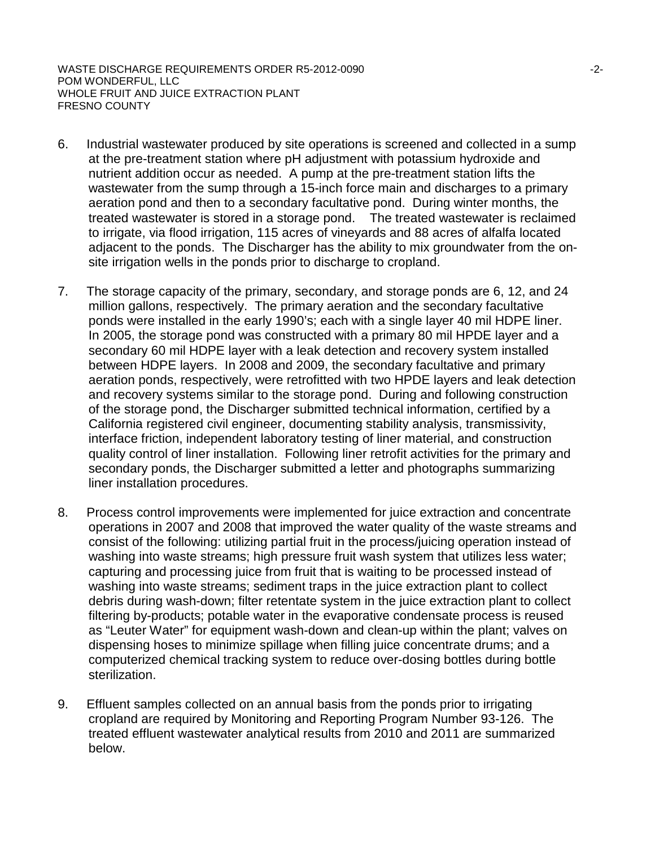WASTE DISCHARGE REQUIREMENTS ORDER R5-2012-0090 **FOR A SET AND RELATIVE STATE** THE RESERVE THAT A 2-POM WONDERFUL, LLC WHOLE FRUIT AND JUICE EXTRACTION PLANT FRESNO COUNTY

- 6. Industrial wastewater produced by site operations is screened and collected in a sump at the pre-treatment station where pH adjustment with potassium hydroxide and nutrient addition occur as needed. A pump at the pre-treatment station lifts the wastewater from the sump through a 15-inch force main and discharges to a primary aeration pond and then to a secondary facultative pond. During winter months, the treated wastewater is stored in a storage pond. The treated wastewater is reclaimed to irrigate, via flood irrigation, 115 acres of vineyards and 88 acres of alfalfa located adjacent to the ponds. The Discharger has the ability to mix groundwater from the onsite irrigation wells in the ponds prior to discharge to cropland.
- 7. The storage capacity of the primary, secondary, and storage ponds are 6, 12, and 24 million gallons, respectively. The primary aeration and the secondary facultative ponds were installed in the early 1990's; each with a single layer 40 mil HDPE liner. In 2005, the storage pond was constructed with a primary 80 mil HPDE layer and a secondary 60 mil HDPE layer with a leak detection and recovery system installed between HDPE layers. In 2008 and 2009, the secondary facultative and primary aeration ponds, respectively, were retrofitted with two HPDE layers and leak detection and recovery systems similar to the storage pond. During and following construction of the storage pond, the Discharger submitted technical information, certified by a California registered civil engineer, documenting stability analysis, transmissivity, interface friction, independent laboratory testing of liner material, and construction quality control of liner installation. Following liner retrofit activities for the primary and secondary ponds, the Discharger submitted a letter and photographs summarizing liner installation procedures.
- 8. Process control improvements were implemented for juice extraction and concentrate operations in 2007 and 2008 that improved the water quality of the waste streams and consist of the following: utilizing partial fruit in the process/juicing operation instead of washing into waste streams; high pressure fruit wash system that utilizes less water; capturing and processing juice from fruit that is waiting to be processed instead of washing into waste streams; sediment traps in the juice extraction plant to collect debris during wash-down; filter retentate system in the juice extraction plant to collect filtering by-products; potable water in the evaporative condensate process is reused as "Leuter Water" for equipment wash-down and clean-up within the plant; valves on dispensing hoses to minimize spillage when filling juice concentrate drums; and a computerized chemical tracking system to reduce over-dosing bottles during bottle sterilization.
- 9. Effluent samples collected on an annual basis from the ponds prior to irrigating cropland are required by Monitoring and Reporting Program Number 93-126. The treated effluent wastewater analytical results from 2010 and 2011 are summarized below.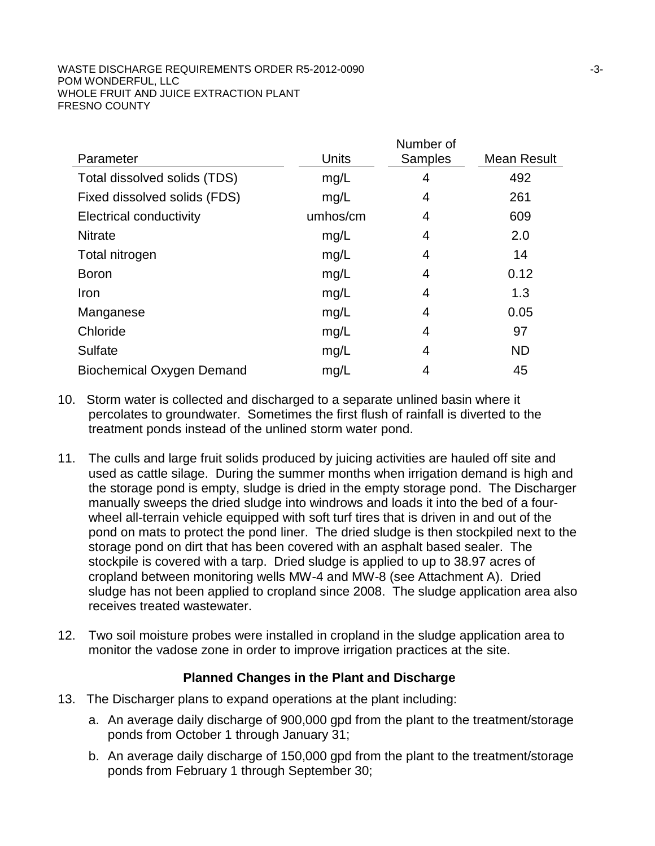|                                  |          | Number of      |             |
|----------------------------------|----------|----------------|-------------|
| Parameter                        | Units    | <b>Samples</b> | Mean Result |
| Total dissolved solids (TDS)     | mg/L     | 4              | 492         |
| Fixed dissolved solids (FDS)     | mg/L     | 4              | 261         |
| <b>Electrical conductivity</b>   | umhos/cm | 4              | 609         |
| <b>Nitrate</b>                   | mg/L     | 4              | 2.0         |
| Total nitrogen                   | mg/L     | 4              | 14          |
| <b>Boron</b>                     | mg/L     | 4              | 0.12        |
| Iron                             | mg/L     | 4              | 1.3         |
| Manganese                        | mg/L     | 4              | 0.05        |
| Chloride                         | mg/L     | 4              | 97          |
| <b>Sulfate</b>                   | mg/L     | 4              | <b>ND</b>   |
| <b>Biochemical Oxygen Demand</b> | mg/L     | 4              | 45          |

- 10. Storm water is collected and discharged to a separate unlined basin where it percolates to groundwater. Sometimes the first flush of rainfall is diverted to the treatment ponds instead of the unlined storm water pond.
- 11. The culls and large fruit solids produced by juicing activities are hauled off site and used as cattle silage. During the summer months when irrigation demand is high and the storage pond is empty, sludge is dried in the empty storage pond. The Discharger manually sweeps the dried sludge into windrows and loads it into the bed of a fourwheel all-terrain vehicle equipped with soft turf tires that is driven in and out of the pond on mats to protect the pond liner. The dried sludge is then stockpiled next to the storage pond on dirt that has been covered with an asphalt based sealer. The stockpile is covered with a tarp. Dried sludge is applied to up to 38.97 acres of cropland between monitoring wells MW-4 and MW-8 (see Attachment A). Dried sludge has not been applied to cropland since 2008. The sludge application area also receives treated wastewater.
- 12. Two soil moisture probes were installed in cropland in the sludge application area to monitor the vadose zone in order to improve irrigation practices at the site.

# **Planned Changes in the Plant and Discharge**

- 13. The Discharger plans to expand operations at the plant including:
	- a. An average daily discharge of 900,000 gpd from the plant to the treatment/storage ponds from October 1 through January 31;
	- b. An average daily discharge of 150,000 gpd from the plant to the treatment/storage ponds from February 1 through September 30;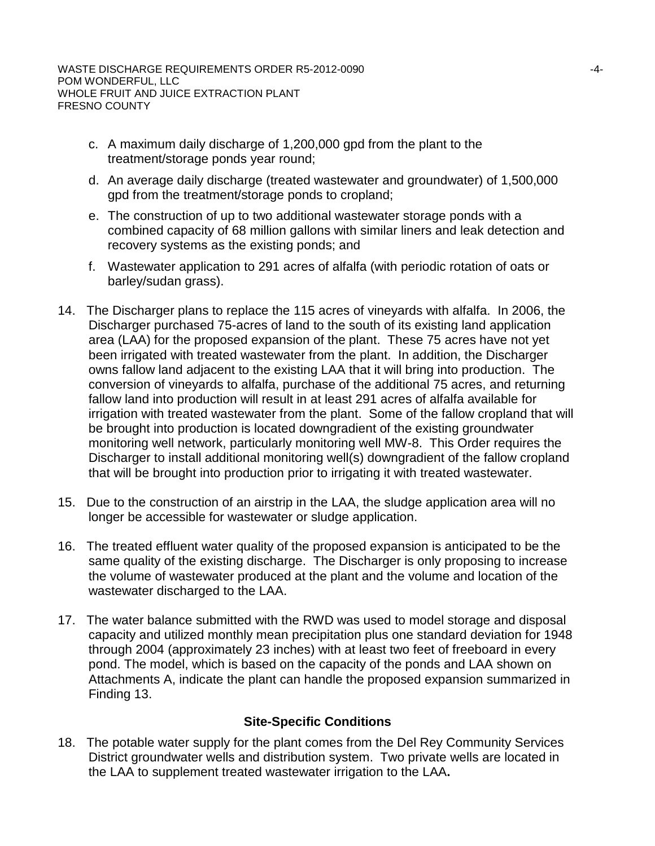- c. A maximum daily discharge of 1,200,000 gpd from the plant to the treatment/storage ponds year round;
- d. An average daily discharge (treated wastewater and groundwater) of 1,500,000 gpd from the treatment/storage ponds to cropland;
- e. The construction of up to two additional wastewater storage ponds with a combined capacity of 68 million gallons with similar liners and leak detection and recovery systems as the existing ponds; and
- f. Wastewater application to 291 acres of alfalfa (with periodic rotation of oats or barley/sudan grass).
- 14. The Discharger plans to replace the 115 acres of vineyards with alfalfa. In 2006, the Discharger purchased 75-acres of land to the south of its existing land application area (LAA) for the proposed expansion of the plant. These 75 acres have not yet been irrigated with treated wastewater from the plant. In addition, the Discharger owns fallow land adjacent to the existing LAA that it will bring into production. The conversion of vineyards to alfalfa, purchase of the additional 75 acres, and returning fallow land into production will result in at least 291 acres of alfalfa available for irrigation with treated wastewater from the plant. Some of the fallow cropland that will be brought into production is located downgradient of the existing groundwater monitoring well network, particularly monitoring well MW-8. This Order requires the Discharger to install additional monitoring well(s) downgradient of the fallow cropland that will be brought into production prior to irrigating it with treated wastewater.
- 15. Due to the construction of an airstrip in the LAA, the sludge application area will no longer be accessible for wastewater or sludge application.
- 16. The treated effluent water quality of the proposed expansion is anticipated to be the same quality of the existing discharge. The Discharger is only proposing to increase the volume of wastewater produced at the plant and the volume and location of the wastewater discharged to the LAA.
- 17. The water balance submitted with the RWD was used to model storage and disposal capacity and utilized monthly mean precipitation plus one standard deviation for 1948 through 2004 (approximately 23 inches) with at least two feet of freeboard in every pond. The model, which is based on the capacity of the ponds and LAA shown on Attachments A, indicate the plant can handle the proposed expansion summarized in Finding 13.

## **Site-Specific Conditions**

18. The potable water supply for the plant comes from the Del Rey Community Services District groundwater wells and distribution system. Two private wells are located in the LAA to supplement treated wastewater irrigation to the LAA**.**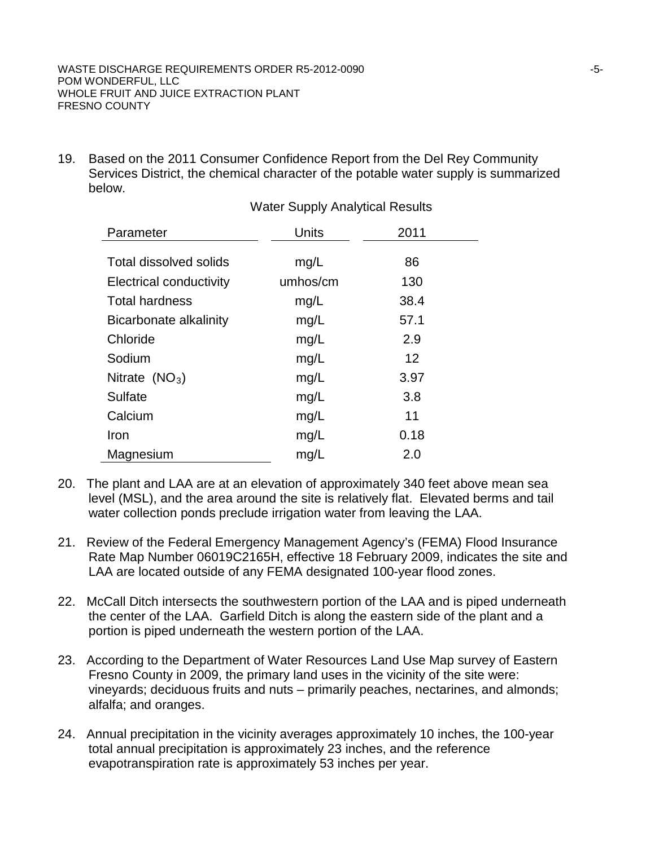19. Based on the 2011 Consumer Confidence Report from the Del Rey Community Services District, the chemical character of the potable water supply is summarized below.

| Parameter                      | Units    | 2011              |
|--------------------------------|----------|-------------------|
|                                |          |                   |
| <b>Total dissolved solids</b>  | mg/L     | 86                |
| <b>Electrical conductivity</b> | umhos/cm | 130               |
| <b>Total hardness</b>          | mg/L     | 38.4              |
| Bicarbonate alkalinity         | mg/L     | 57.1              |
| Chloride                       | mg/L     | 2.9               |
| Sodium                         | mg/L     | $12 \overline{ }$ |
| Nitrate $(NO3)$                | mg/L     | 3.97              |
| Sulfate                        | mg/L     | 3.8               |
| Calcium                        | mg/L     | 11                |
| Iron                           | mg/L     | 0.18              |
| Magnesium                      | mq/L     | 2.0               |

Water Supply Analytical Results

- 20. The plant and LAA are at an elevation of approximately 340 feet above mean sea level (MSL), and the area around the site is relatively flat. Elevated berms and tail water collection ponds preclude irrigation water from leaving the LAA.
- 21. Review of the Federal Emergency Management Agency's (FEMA) Flood Insurance Rate Map Number 06019C2165H, effective 18 February 2009, indicates the site and LAA are located outside of any FEMA designated 100-year flood zones.
- 22. McCall Ditch intersects the southwestern portion of the LAA and is piped underneath the center of the LAA. Garfield Ditch is along the eastern side of the plant and a portion is piped underneath the western portion of the LAA.
- 23. According to the Department of Water Resources Land Use Map survey of Eastern Fresno County in 2009, the primary land uses in the vicinity of the site were: vineyards; deciduous fruits and nuts – primarily peaches, nectarines, and almonds; alfalfa; and oranges.
- 24. Annual precipitation in the vicinity averages approximately 10 inches, the 100-year total annual precipitation is approximately 23 inches, and the reference evapotranspiration rate is approximately 53 inches per year.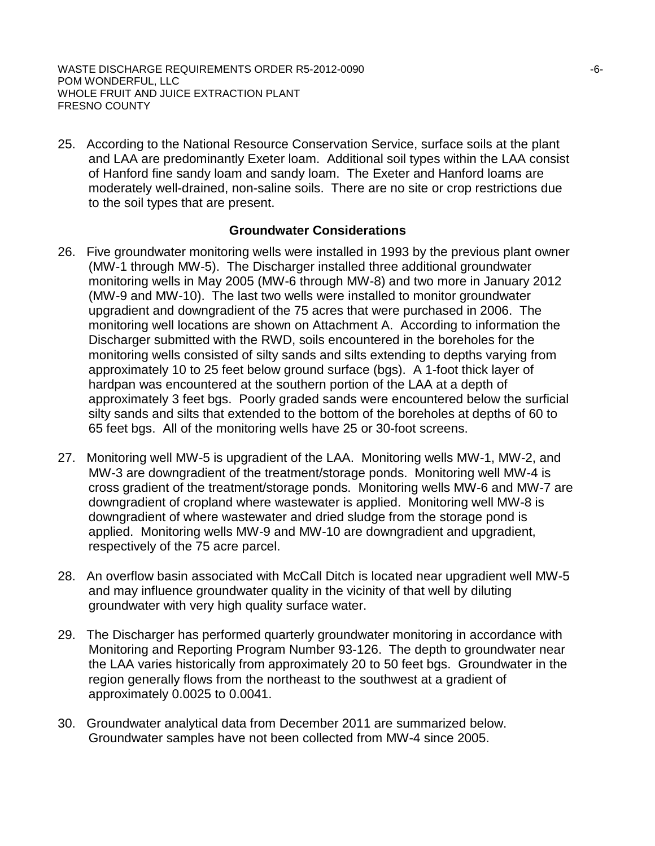25. According to the National Resource Conservation Service, surface soils at the plant and LAA are predominantly Exeter loam. Additional soil types within the LAA consist of Hanford fine sandy loam and sandy loam. The Exeter and Hanford loams are moderately well-drained, non-saline soils. There are no site or crop restrictions due to the soil types that are present.

### **Groundwater Considerations**

- 26. Five groundwater monitoring wells were installed in 1993 by the previous plant owner (MW-1 through MW-5). The Discharger installed three additional groundwater monitoring wells in May 2005 (MW-6 through MW-8) and two more in January 2012 (MW-9 and MW-10). The last two wells were installed to monitor groundwater upgradient and downgradient of the 75 acres that were purchased in 2006. The monitoring well locations are shown on Attachment A. According to information the Discharger submitted with the RWD, soils encountered in the boreholes for the monitoring wells consisted of silty sands and silts extending to depths varying from approximately 10 to 25 feet below ground surface (bgs). A 1-foot thick layer of hardpan was encountered at the southern portion of the LAA at a depth of approximately 3 feet bgs. Poorly graded sands were encountered below the surficial silty sands and silts that extended to the bottom of the boreholes at depths of 60 to 65 feet bgs. All of the monitoring wells have 25 or 30-foot screens.
- 27. Monitoring well MW-5 is upgradient of the LAA. Monitoring wells MW-1, MW-2, and MW-3 are downgradient of the treatment/storage ponds. Monitoring well MW-4 is cross gradient of the treatment/storage ponds. Monitoring wells MW-6 and MW-7 are downgradient of cropland where wastewater is applied. Monitoring well MW-8 is downgradient of where wastewater and dried sludge from the storage pond is applied. Monitoring wells MW-9 and MW-10 are downgradient and upgradient, respectively of the 75 acre parcel.
- 28. An overflow basin associated with McCall Ditch is located near upgradient well MW-5 and may influence groundwater quality in the vicinity of that well by diluting groundwater with very high quality surface water.
- 29. The Discharger has performed quarterly groundwater monitoring in accordance with Monitoring and Reporting Program Number 93-126. The depth to groundwater near the LAA varies historically from approximately 20 to 50 feet bgs. Groundwater in the region generally flows from the northeast to the southwest at a gradient of approximately 0.0025 to 0.0041.
- 30. Groundwater analytical data from December 2011 are summarized below. Groundwater samples have not been collected from MW-4 since 2005.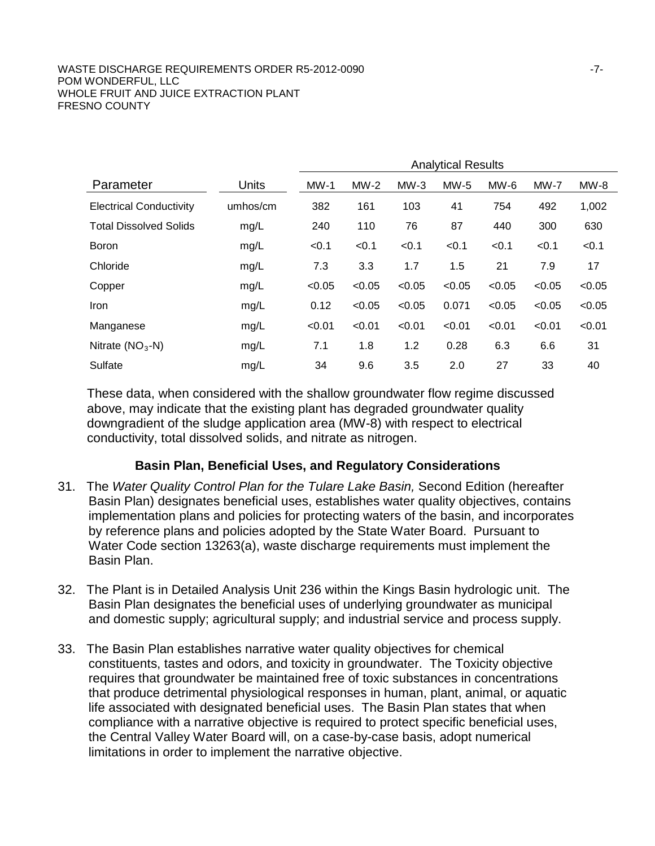#### WASTE DISCHARGE REQUIREMENTS ORDER R5-2012-0090 FOR THE RESERVE RESPONDENT AND THE RESERVE TO A 17-POM WONDERFUL, LLC WHOLE FRUIT AND JUICE EXTRACTION PLANT FRESNO COUNTY

|                                |          | <b>Analytical Results</b> |        |        |        |        |        |        |
|--------------------------------|----------|---------------------------|--------|--------|--------|--------|--------|--------|
| Parameter                      | Units    | $MW-1$                    | $MW-2$ | $MW-3$ | $MW-5$ | MW-6   | $MW-7$ | $MW-8$ |
| <b>Electrical Conductivity</b> | umhos/cm | 382                       | 161    | 103    | 41     | 754    | 492    | 1,002  |
| <b>Total Dissolved Solids</b>  | mg/L     | 240                       | 110    | 76     | 87     | 440    | 300    | 630    |
| <b>Boron</b>                   | mg/L     | < 0.1                     | < 0.1  | < 0.1  | < 0.1  | < 0.1  | < 0.1  | < 0.1  |
| Chloride                       | mg/L     | 7.3                       | 3.3    | 1.7    | 1.5    | 21     | 7.9    | 17     |
| Copper                         | mg/L     | < 0.05                    | < 0.05 | < 0.05 | < 0.05 | < 0.05 | < 0.05 | < 0.05 |
| <b>Iron</b>                    | mg/L     | 0.12                      | < 0.05 | < 0.05 | 0.071  | < 0.05 | < 0.05 | < 0.05 |
| Manganese                      | mg/L     | < 0.01                    | < 0.01 | < 0.01 | < 0.01 | < 0.01 | < 0.01 | < 0.01 |
| Nitrate $(NO3-N)$              | mg/L     | 7.1                       | 1.8    | 1.2    | 0.28   | 6.3    | 6.6    | 31     |
| Sulfate                        | mg/L     | 34                        | 9.6    | 3.5    | 2.0    | 27     | 33     | 40     |

These data, when considered with the shallow groundwater flow regime discussed above, may indicate that the existing plant has degraded groundwater quality downgradient of the sludge application area (MW-8) with respect to electrical conductivity, total dissolved solids, and nitrate as nitrogen.

## **Basin Plan, Beneficial Uses, and Regulatory Considerations**

- 31. The *Water Quality Control Plan for the Tulare Lake Basin,* Second Edition (hereafter Basin Plan) designates beneficial uses, establishes water quality objectives, contains implementation plans and policies for protecting waters of the basin, and incorporates by reference plans and policies adopted by the State Water Board. Pursuant to Water Code section 13263(a), waste discharge requirements must implement the Basin Plan.
- 32. The Plant is in Detailed Analysis Unit 236 within the Kings Basin hydrologic unit. The Basin Plan designates the beneficial uses of underlying groundwater as municipal and domestic supply; agricultural supply; and industrial service and process supply.
- 33. The Basin Plan establishes narrative water quality objectives for chemical constituents, tastes and odors, and toxicity in groundwater. The Toxicity objective requires that groundwater be maintained free of toxic substances in concentrations that produce detrimental physiological responses in human, plant, animal, or aquatic life associated with designated beneficial uses. The Basin Plan states that when compliance with a narrative objective is required to protect specific beneficial uses, the Central Valley Water Board will, on a case-by-case basis, adopt numerical limitations in order to implement the narrative objective.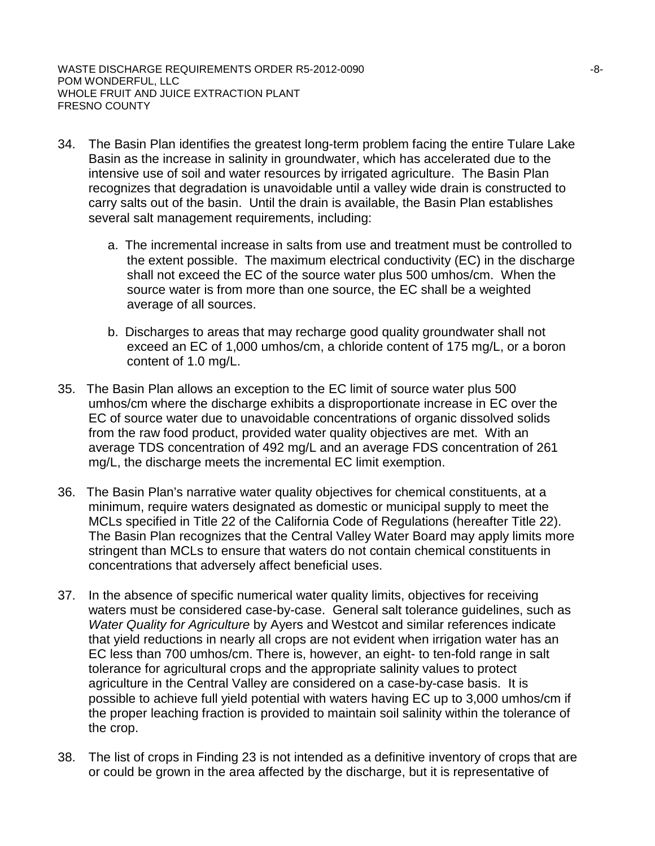- 34. The Basin Plan identifies the greatest long-term problem facing the entire Tulare Lake Basin as the increase in salinity in groundwater, which has accelerated due to the intensive use of soil and water resources by irrigated agriculture. The Basin Plan recognizes that degradation is unavoidable until a valley wide drain is constructed to carry salts out of the basin. Until the drain is available, the Basin Plan establishes several salt management requirements, including:
	- a. The incremental increase in salts from use and treatment must be controlled to the extent possible. The maximum electrical conductivity (EC) in the discharge shall not exceed the EC of the source water plus 500 umhos/cm. When the source water is from more than one source, the EC shall be a weighted average of all sources.
	- b. Discharges to areas that may recharge good quality groundwater shall not exceed an EC of 1,000 umhos/cm, a chloride content of 175 mg/L, or a boron content of 1.0 mg/L.
- 35. The Basin Plan allows an exception to the EC limit of source water plus 500 umhos/cm where the discharge exhibits a disproportionate increase in EC over the EC of source water due to unavoidable concentrations of organic dissolved solids from the raw food product, provided water quality objectives are met. With an average TDS concentration of 492 mg/L and an average FDS concentration of 261 mg/L, the discharge meets the incremental EC limit exemption.
- 36. The Basin Plan's narrative water quality objectives for chemical constituents, at a minimum, require waters designated as domestic or municipal supply to meet the MCLs specified in Title 22 of the California Code of Regulations (hereafter Title 22). The Basin Plan recognizes that the Central Valley Water Board may apply limits more stringent than MCLs to ensure that waters do not contain chemical constituents in concentrations that adversely affect beneficial uses.
- 37. In the absence of specific numerical water quality limits, objectives for receiving waters must be considered case-by-case. General salt tolerance guidelines, such as *Water Quality for Agriculture* by Ayers and Westcot and similar references indicate that yield reductions in nearly all crops are not evident when irrigation water has an EC less than 700 umhos/cm. There is, however, an eight- to ten-fold range in salt tolerance for agricultural crops and the appropriate salinity values to protect agriculture in the Central Valley are considered on a case-by-case basis. It is possible to achieve full yield potential with waters having EC up to 3,000 umhos/cm if the proper leaching fraction is provided to maintain soil salinity within the tolerance of the crop.
- 38. The list of crops in Finding 23 is not intended as a definitive inventory of crops that are or could be grown in the area affected by the discharge, but it is representative of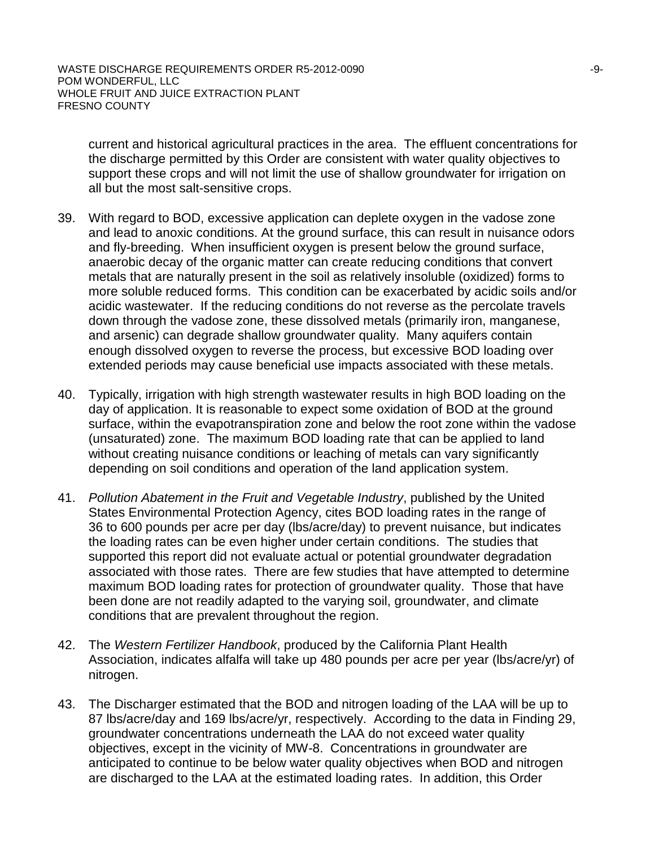current and historical agricultural practices in the area. The effluent concentrations for the discharge permitted by this Order are consistent with water quality objectives to support these crops and will not limit the use of shallow groundwater for irrigation on all but the most salt-sensitive crops.

- 39. With regard to BOD, excessive application can deplete oxygen in the vadose zone and lead to anoxic conditions. At the ground surface, this can result in nuisance odors and fly-breeding. When insufficient oxygen is present below the ground surface, anaerobic decay of the organic matter can create reducing conditions that convert metals that are naturally present in the soil as relatively insoluble (oxidized) forms to more soluble reduced forms. This condition can be exacerbated by acidic soils and/or acidic wastewater. If the reducing conditions do not reverse as the percolate travels down through the vadose zone, these dissolved metals (primarily iron, manganese, and arsenic) can degrade shallow groundwater quality. Many aquifers contain enough dissolved oxygen to reverse the process, but excessive BOD loading over extended periods may cause beneficial use impacts associated with these metals.
- 40. Typically, irrigation with high strength wastewater results in high BOD loading on the day of application. It is reasonable to expect some oxidation of BOD at the ground surface, within the evapotranspiration zone and below the root zone within the vadose (unsaturated) zone. The maximum BOD loading rate that can be applied to land without creating nuisance conditions or leaching of metals can vary significantly depending on soil conditions and operation of the land application system.
- 41. *Pollution Abatement in the Fruit and Vegetable Industry*, published by the United States Environmental Protection Agency, cites BOD loading rates in the range of 36 to 600 pounds per acre per day (lbs/acre/day) to prevent nuisance, but indicates the loading rates can be even higher under certain conditions. The studies that supported this report did not evaluate actual or potential groundwater degradation associated with those rates. There are few studies that have attempted to determine maximum BOD loading rates for protection of groundwater quality. Those that have been done are not readily adapted to the varying soil, groundwater, and climate conditions that are prevalent throughout the region.
- 42. The *Western Fertilizer Handbook*, produced by the California Plant Health Association, indicates alfalfa will take up 480 pounds per acre per year (lbs/acre/yr) of nitrogen.
- 43. The Discharger estimated that the BOD and nitrogen loading of the LAA will be up to 87 lbs/acre/day and 169 lbs/acre/yr, respectively. According to the data in Finding 29, groundwater concentrations underneath the LAA do not exceed water quality objectives, except in the vicinity of MW-8. Concentrations in groundwater are anticipated to continue to be below water quality objectives when BOD and nitrogen are discharged to the LAA at the estimated loading rates. In addition, this Order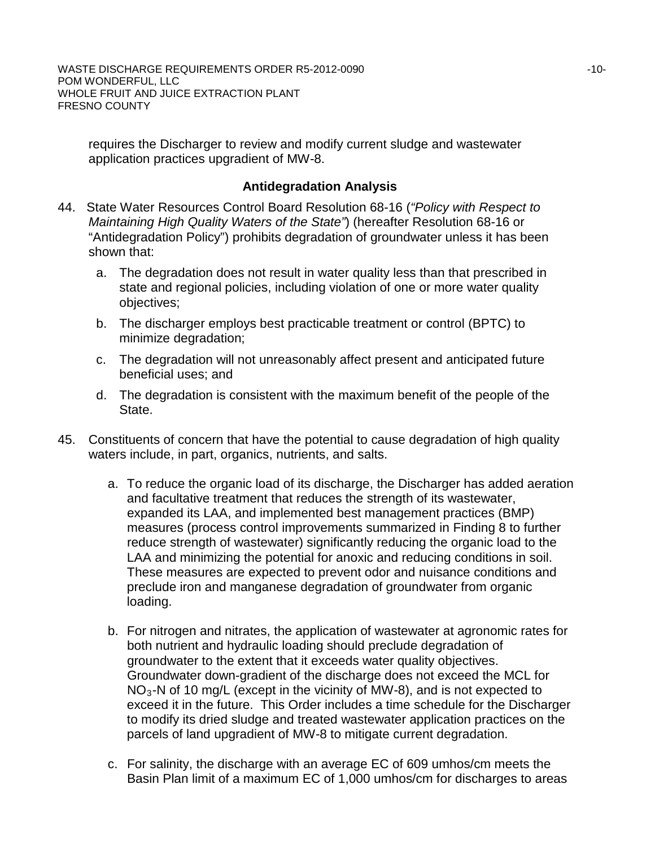requires the Discharger to review and modify current sludge and wastewater application practices upgradient of MW-8.

## **Antidegradation Analysis**

- 44. State Water Resources Control Board Resolution 68-16 (*"Policy with Respect to Maintaining High Quality Waters of the State"*) (hereafter Resolution 68-16 or "Antidegradation Policy") prohibits degradation of groundwater unless it has been shown that:
	- a. The degradation does not result in water quality less than that prescribed in state and regional policies, including violation of one or more water quality objectives;
	- b. The discharger employs best practicable treatment or control (BPTC) to minimize degradation;
	- c. The degradation will not unreasonably affect present and anticipated future beneficial uses; and
	- d. The degradation is consistent with the maximum benefit of the people of the State.
- 45. Constituents of concern that have the potential to cause degradation of high quality waters include, in part, organics, nutrients, and salts.
	- a. To reduce the organic load of its discharge, the Discharger has added aeration and facultative treatment that reduces the strength of its wastewater, expanded its LAA, and implemented best management practices (BMP) measures (process control improvements summarized in Finding 8 to further reduce strength of wastewater) significantly reducing the organic load to the LAA and minimizing the potential for anoxic and reducing conditions in soil. These measures are expected to prevent odor and nuisance conditions and preclude iron and manganese degradation of groundwater from organic loading.
	- b. For nitrogen and nitrates, the application of wastewater at agronomic rates for both nutrient and hydraulic loading should preclude degradation of groundwater to the extent that it exceeds water quality objectives. Groundwater down-gradient of the discharge does not exceed the MCL for  $NO<sub>3</sub>$ -N of 10 mg/L (except in the vicinity of MW-8), and is not expected to exceed it in the future. This Order includes a time schedule for the Discharger to modify its dried sludge and treated wastewater application practices on the parcels of land upgradient of MW-8 to mitigate current degradation.
	- c. For salinity, the discharge with an average EC of 609 umhos/cm meets the Basin Plan limit of a maximum EC of 1,000 umhos/cm for discharges to areas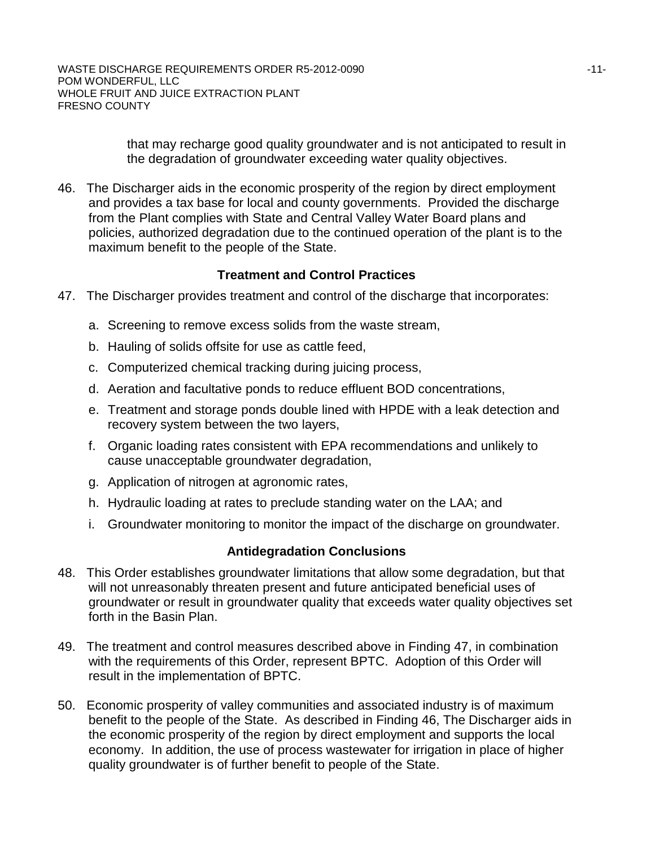that may recharge good quality groundwater and is not anticipated to result in the degradation of groundwater exceeding water quality objectives.

46. The Discharger aids in the economic prosperity of the region by direct employment and provides a tax base for local and county governments. Provided the discharge from the Plant complies with State and Central Valley Water Board plans and policies, authorized degradation due to the continued operation of the plant is to the maximum benefit to the people of the State.

# **Treatment and Control Practices**

- 47. The Discharger provides treatment and control of the discharge that incorporates:
	- a. Screening to remove excess solids from the waste stream,
	- b. Hauling of solids offsite for use as cattle feed,
	- c. Computerized chemical tracking during juicing process,
	- d. Aeration and facultative ponds to reduce effluent BOD concentrations,
	- e. Treatment and storage ponds double lined with HPDE with a leak detection and recovery system between the two layers,
	- f. Organic loading rates consistent with EPA recommendations and unlikely to cause unacceptable groundwater degradation,
	- g. Application of nitrogen at agronomic rates,
	- h. Hydraulic loading at rates to preclude standing water on the LAA; and
	- i. Groundwater monitoring to monitor the impact of the discharge on groundwater.

## **Antidegradation Conclusions**

- 48. This Order establishes groundwater limitations that allow some degradation, but that will not unreasonably threaten present and future anticipated beneficial uses of groundwater or result in groundwater quality that exceeds water quality objectives set forth in the Basin Plan.
- 49. The treatment and control measures described above in Finding 47, in combination with the requirements of this Order, represent BPTC. Adoption of this Order will result in the implementation of BPTC.
- 50. Economic prosperity of valley communities and associated industry is of maximum benefit to the people of the State. As described in Finding 46, The Discharger aids in the economic prosperity of the region by direct employment and supports the local economy. In addition, the use of process wastewater for irrigation in place of higher quality groundwater is of further benefit to people of the State.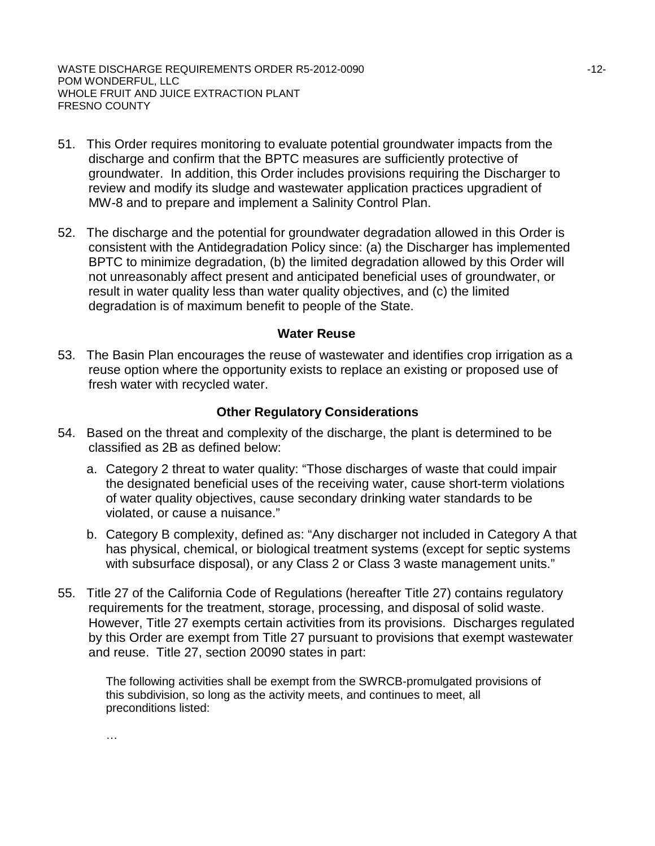- 51. This Order requires monitoring to evaluate potential groundwater impacts from the discharge and confirm that the BPTC measures are sufficiently protective of groundwater. In addition, this Order includes provisions requiring the Discharger to review and modify its sludge and wastewater application practices upgradient of MW-8 and to prepare and implement a Salinity Control Plan.
- 52. The discharge and the potential for groundwater degradation allowed in this Order is consistent with the Antidegradation Policy since: (a) the Discharger has implemented BPTC to minimize degradation, (b) the limited degradation allowed by this Order will not unreasonably affect present and anticipated beneficial uses of groundwater, or result in water quality less than water quality objectives, and (c) the limited degradation is of maximum benefit to people of the State.

#### **Water Reuse**

53. The Basin Plan encourages the reuse of wastewater and identifies crop irrigation as a reuse option where the opportunity exists to replace an existing or proposed use of fresh water with recycled water.

### **Other Regulatory Considerations**

- 54. Based on the threat and complexity of the discharge, the plant is determined to be classified as 2B as defined below:
	- a. Category 2 threat to water quality: "Those discharges of waste that could impair the designated beneficial uses of the receiving water, cause short-term violations of water quality objectives, cause secondary drinking water standards to be violated, or cause a nuisance."
	- b. Category B complexity, defined as: "Any discharger not included in Category A that has physical, chemical, or biological treatment systems (except for septic systems with subsurface disposal), or any Class 2 or Class 3 waste management units."
- 55. Title 27 of the California Code of Regulations (hereafter Title 27) contains regulatory requirements for the treatment, storage, processing, and disposal of solid waste. However, Title 27 exempts certain activities from its provisions. Discharges regulated by this Order are exempt from Title 27 pursuant to provisions that exempt wastewater and reuse. Title 27, section 20090 states in part:

The following activities shall be exempt from the SWRCB-promulgated provisions of this subdivision, so long as the activity meets, and continues to meet, all preconditions listed:

…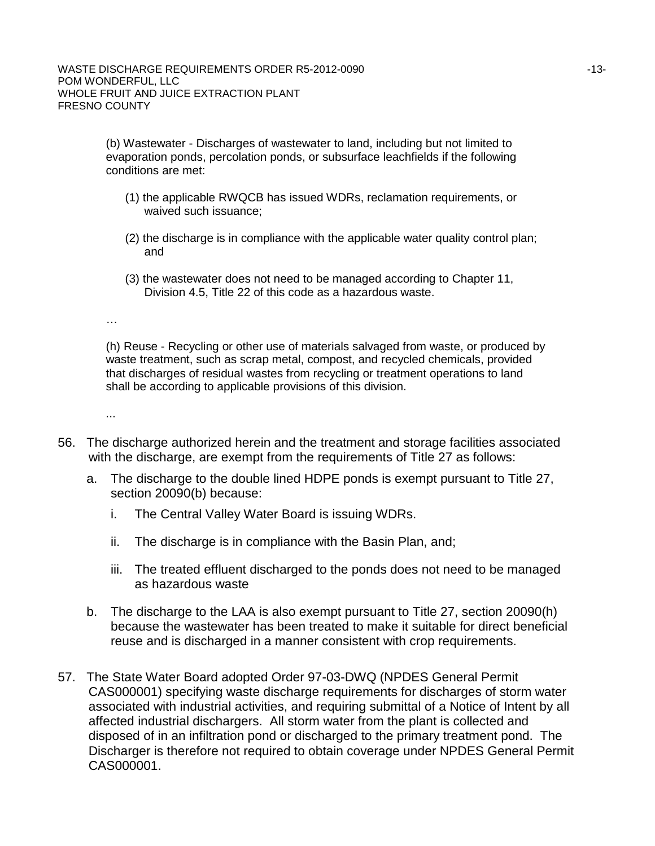(b) Wastewater - Discharges of wastewater to land, including but not limited to evaporation ponds, percolation ponds, or subsurface leachfields if the following conditions are met:

- (1) the applicable RWQCB has issued WDRs, reclamation requirements, or waived such issuance;
- (2) the discharge is in compliance with the applicable water quality control plan; and
- (3) the wastewater does not need to be managed according to Chapter 11, Division 4.5, Title 22 of this code as a hazardous waste.

…

(h) Reuse - Recycling or other use of materials salvaged from waste, or produced by waste treatment, such as scrap metal, compost, and recycled chemicals, provided that discharges of residual wastes from recycling or treatment operations to land shall be according to applicable provisions of this division.

...

- 56. The discharge authorized herein and the treatment and storage facilities associated with the discharge, are exempt from the requirements of Title 27 as follows:
	- a. The discharge to the double lined HDPE ponds is exempt pursuant to Title 27, section 20090(b) because:
		- i. The Central Valley Water Board is issuing WDRs.
		- ii. The discharge is in compliance with the Basin Plan, and;
		- iii. The treated effluent discharged to the ponds does not need to be managed as hazardous waste
	- b. The discharge to the LAA is also exempt pursuant to Title 27, section 20090(h) because the wastewater has been treated to make it suitable for direct beneficial reuse and is discharged in a manner consistent with crop requirements.
- 57. The State Water Board adopted Order 97-03-DWQ (NPDES General Permit CAS000001) specifying waste discharge requirements for discharges of storm water associated with industrial activities, and requiring submittal of a Notice of Intent by all affected industrial dischargers. All storm water from the plant is collected and disposed of in an infiltration pond or discharged to the primary treatment pond. The Discharger is therefore not required to obtain coverage under NPDES General Permit CAS000001.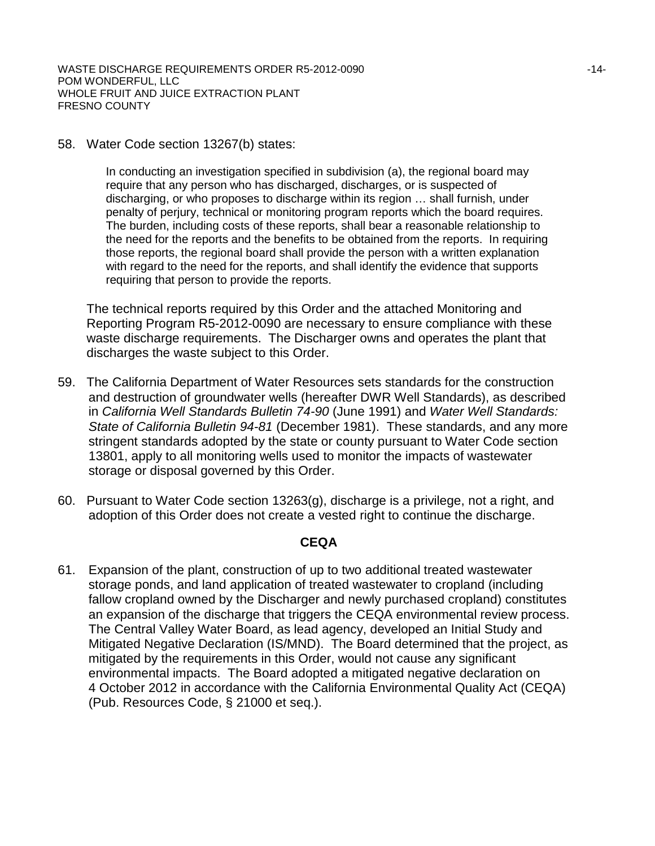58. Water Code section 13267(b) states:

In conducting an investigation specified in subdivision (a), the regional board may require that any person who has discharged, discharges, or is suspected of discharging, or who proposes to discharge within its region … shall furnish, under penalty of perjury, technical or monitoring program reports which the board requires. The burden, including costs of these reports, shall bear a reasonable relationship to the need for the reports and the benefits to be obtained from the reports. In requiring those reports, the regional board shall provide the person with a written explanation with regard to the need for the reports, and shall identify the evidence that supports requiring that person to provide the reports.

The technical reports required by this Order and the attached Monitoring and Reporting Program R5-2012-0090 are necessary to ensure compliance with these waste discharge requirements. The Discharger owns and operates the plant that discharges the waste subject to this Order.

- 59. The California Department of Water Resources sets standards for the construction and destruction of groundwater wells (hereafter DWR Well Standards), as described in *California Well Standards Bulletin 74-90* (June 1991) and *Water Well Standards: State of California Bulletin 94-81* (December 1981). These standards, and any more stringent standards adopted by the state or county pursuant to Water Code section 13801, apply to all monitoring wells used to monitor the impacts of wastewater storage or disposal governed by this Order.
- 60. Pursuant to Water Code section 13263(g), discharge is a privilege, not a right, and adoption of this Order does not create a vested right to continue the discharge.

#### **CEQA**

61. Expansion of the plant, construction of up to two additional treated wastewater storage ponds, and land application of treated wastewater to cropland (including fallow cropland owned by the Discharger and newly purchased cropland) constitutes an expansion of the discharge that triggers the CEQA environmental review process. The Central Valley Water Board, as lead agency, developed an Initial Study and Mitigated Negative Declaration (IS/MND). The Board determined that the project, as mitigated by the requirements in this Order, would not cause any significant environmental impacts. The Board adopted a mitigated negative declaration on 4 October 2012 in accordance with the California Environmental Quality Act (CEQA) (Pub. Resources Code, § 21000 et seq.).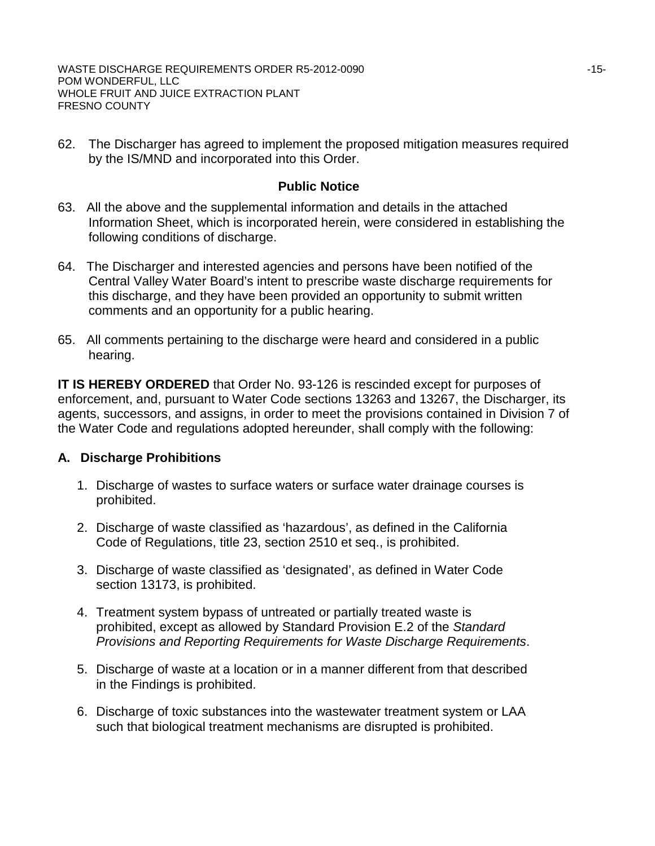62. The Discharger has agreed to implement the proposed mitigation measures required by the IS/MND and incorporated into this Order.

## **Public Notice**

- 63. All the above and the supplemental information and details in the attached Information Sheet, which is incorporated herein, were considered in establishing the following conditions of discharge.
- 64. The Discharger and interested agencies and persons have been notified of the Central Valley Water Board's intent to prescribe waste discharge requirements for this discharge, and they have been provided an opportunity to submit written comments and an opportunity for a public hearing.
- 65. All comments pertaining to the discharge were heard and considered in a public hearing.

**IT IS HEREBY ORDERED** that Order No. 93-126 is rescinded except for purposes of enforcement, and, pursuant to Water Code sections 13263 and 13267, the Discharger, its agents, successors, and assigns, in order to meet the provisions contained in Division 7 of the Water Code and regulations adopted hereunder, shall comply with the following:

## **A. Discharge Prohibitions**

- 1. Discharge of wastes to surface waters or surface water drainage courses is prohibited.
- 2. Discharge of waste classified as 'hazardous', as defined in the California Code of Regulations, title 23, section 2510 et seq., is prohibited.
- 3. Discharge of waste classified as 'designated', as defined in Water Code section 13173, is prohibited.
- 4. Treatment system bypass of untreated or partially treated waste is prohibited, except as allowed by Standard Provision E.2 of the *Standard Provisions and Reporting Requirements for Waste Discharge Requirements*.
- 5. Discharge of waste at a location or in a manner different from that described in the Findings is prohibited.
- 6. Discharge of toxic substances into the wastewater treatment system or LAA such that biological treatment mechanisms are disrupted is prohibited.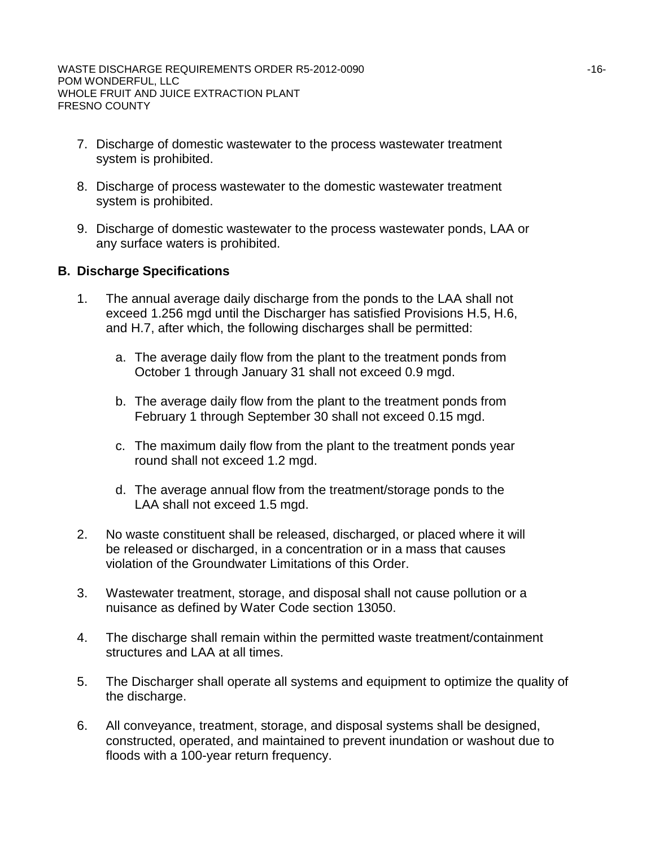- 7. Discharge of domestic wastewater to the process wastewater treatment system is prohibited.
- 8. Discharge of process wastewater to the domestic wastewater treatment system is prohibited.
- 9. Discharge of domestic wastewater to the process wastewater ponds, LAA or any surface waters is prohibited.

### **B. Discharge Specifications**

- 1. The annual average daily discharge from the ponds to the LAA shall not exceed 1.256 mgd until the Discharger has satisfied Provisions H.5, H.6, and H.7, after which, the following discharges shall be permitted:
	- a. The average daily flow from the plant to the treatment ponds from October 1 through January 31 shall not exceed 0.9 mgd.
	- b. The average daily flow from the plant to the treatment ponds from February 1 through September 30 shall not exceed 0.15 mgd.
	- c. The maximum daily flow from the plant to the treatment ponds year round shall not exceed 1.2 mgd.
	- d. The average annual flow from the treatment/storage ponds to the LAA shall not exceed 1.5 mgd.
- 2. No waste constituent shall be released, discharged, or placed where it will be released or discharged, in a concentration or in a mass that causes violation of the Groundwater Limitations of this Order.
- 3. Wastewater treatment, storage, and disposal shall not cause pollution or a nuisance as defined by Water Code section 13050.
- 4. The discharge shall remain within the permitted waste treatment/containment structures and LAA at all times.
- 5. The Discharger shall operate all systems and equipment to optimize the quality of the discharge.
- 6. All conveyance, treatment, storage, and disposal systems shall be designed, constructed, operated, and maintained to prevent inundation or washout due to floods with a 100-year return frequency.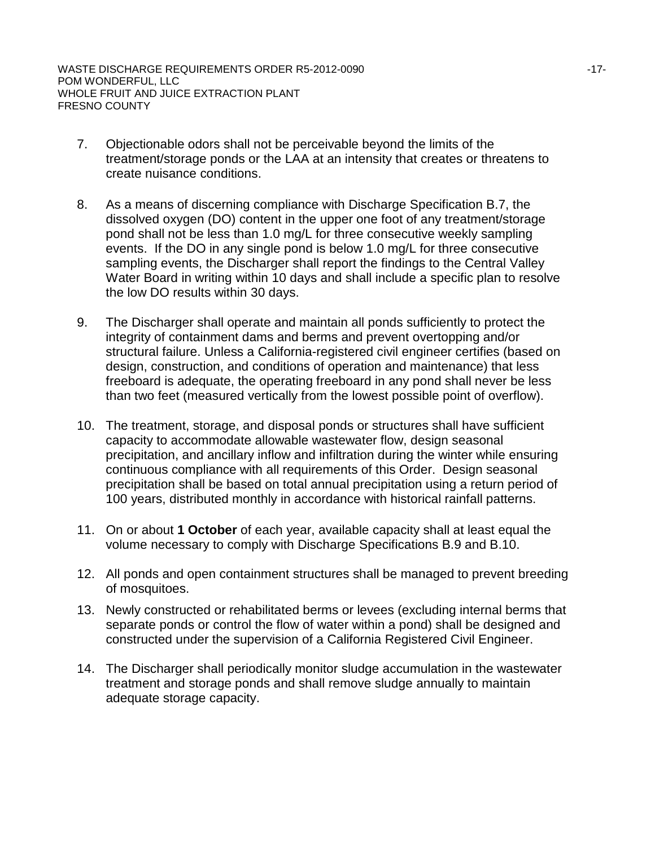- 7. Objectionable odors shall not be perceivable beyond the limits of the treatment/storage ponds or the LAA at an intensity that creates or threatens to create nuisance conditions.
- 8. As a means of discerning compliance with Discharge Specification B.7, the dissolved oxygen (DO) content in the upper one foot of any treatment/storage pond shall not be less than 1.0 mg/L for three consecutive weekly sampling events. If the DO in any single pond is below 1.0 mg/L for three consecutive sampling events, the Discharger shall report the findings to the Central Valley Water Board in writing within 10 days and shall include a specific plan to resolve the low DO results within 30 days.
- 9. The Discharger shall operate and maintain all ponds sufficiently to protect the integrity of containment dams and berms and prevent overtopping and/or structural failure. Unless a California-registered civil engineer certifies (based on design, construction, and conditions of operation and maintenance) that less freeboard is adequate, the operating freeboard in any pond shall never be less than two feet (measured vertically from the lowest possible point of overflow).
- 10. The treatment, storage, and disposal ponds or structures shall have sufficient capacity to accommodate allowable wastewater flow, design seasonal precipitation, and ancillary inflow and infiltration during the winter while ensuring continuous compliance with all requirements of this Order. Design seasonal precipitation shall be based on total annual precipitation using a return period of 100 years, distributed monthly in accordance with historical rainfall patterns.
- 11. On or about **1 October** of each year, available capacity shall at least equal the volume necessary to comply with Discharge Specifications B.9 and B.10.
- 12. All ponds and open containment structures shall be managed to prevent breeding of mosquitoes.
- 13. Newly constructed or rehabilitated berms or levees (excluding internal berms that separate ponds or control the flow of water within a pond) shall be designed and constructed under the supervision of a California Registered Civil Engineer.
- 14. The Discharger shall periodically monitor sludge accumulation in the wastewater treatment and storage ponds and shall remove sludge annually to maintain adequate storage capacity.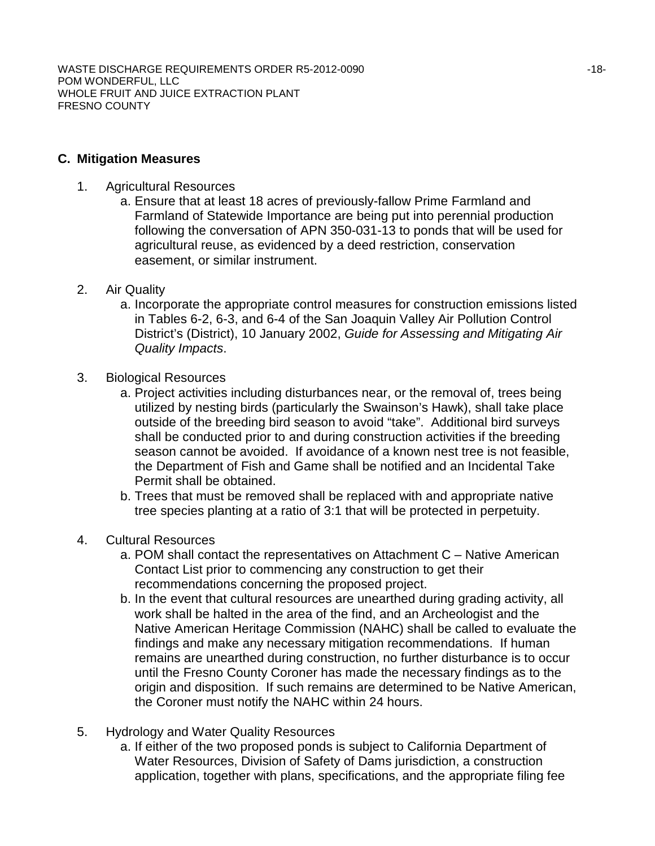### **C. Mitigation Measures**

- 1. Agricultural Resources
	- a. Ensure that at least 18 acres of previously-fallow Prime Farmland and Farmland of Statewide Importance are being put into perennial production following the conversation of APN 350-031-13 to ponds that will be used for agricultural reuse, as evidenced by a deed restriction, conservation easement, or similar instrument.
- 2. Air Quality
	- a. Incorporate the appropriate control measures for construction emissions listed in Tables 6-2, 6-3, and 6-4 of the San Joaquin Valley Air Pollution Control District's (District), 10 January 2002, *Guide for Assessing and Mitigating Air Quality Impacts*.
- 3. Biological Resources
	- a. Project activities including disturbances near, or the removal of, trees being utilized by nesting birds (particularly the Swainson's Hawk), shall take place outside of the breeding bird season to avoid "take". Additional bird surveys shall be conducted prior to and during construction activities if the breeding season cannot be avoided. If avoidance of a known nest tree is not feasible, the Department of Fish and Game shall be notified and an Incidental Take Permit shall be obtained.
	- b. Trees that must be removed shall be replaced with and appropriate native tree species planting at a ratio of 3:1 that will be protected in perpetuity.
- 4. Cultural Resources
	- a. POM shall contact the representatives on Attachment C Native American Contact List prior to commencing any construction to get their recommendations concerning the proposed project.
	- b. In the event that cultural resources are unearthed during grading activity, all work shall be halted in the area of the find, and an Archeologist and the Native American Heritage Commission (NAHC) shall be called to evaluate the findings and make any necessary mitigation recommendations. If human remains are unearthed during construction, no further disturbance is to occur until the Fresno County Coroner has made the necessary findings as to the origin and disposition. If such remains are determined to be Native American, the Coroner must notify the NAHC within 24 hours.
- 5. Hydrology and Water Quality Resources
	- a. If either of the two proposed ponds is subject to California Department of Water Resources, Division of Safety of Dams jurisdiction, a construction application, together with plans, specifications, and the appropriate filing fee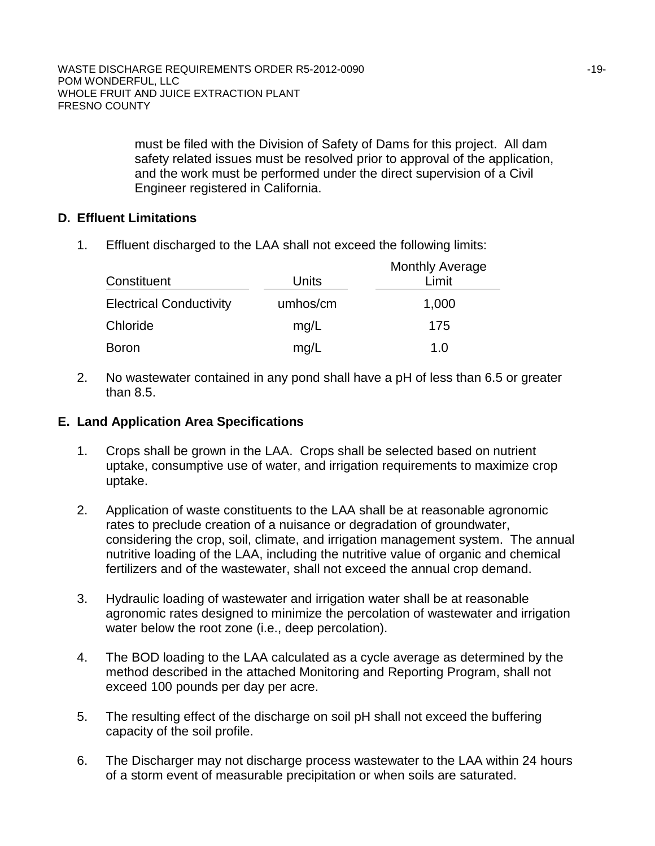must be filed with the Division of Safety of Dams for this project. All dam safety related issues must be resolved prior to approval of the application, and the work must be performed under the direct supervision of a Civil Engineer registered in California.

## **D. Effluent Limitations**

1. Effluent discharged to the LAA shall not exceed the following limits:

| Constituent                    | Units    | <b>Monthly Average</b><br>Limit |
|--------------------------------|----------|---------------------------------|
| <b>Electrical Conductivity</b> | umhos/cm | 1,000                           |
| Chloride                       | mg/L     | 175                             |
| <b>Boron</b>                   | mg/L     | 1.0                             |

2. No wastewater contained in any pond shall have a pH of less than 6.5 or greater than 8.5.

### **E. Land Application Area Specifications**

- 1. Crops shall be grown in the LAA. Crops shall be selected based on nutrient uptake, consumptive use of water, and irrigation requirements to maximize crop uptake.
- 2. Application of waste constituents to the LAA shall be at reasonable agronomic rates to preclude creation of a nuisance or degradation of groundwater, considering the crop, soil, climate, and irrigation management system. The annual nutritive loading of the LAA, including the nutritive value of organic and chemical fertilizers and of the wastewater, shall not exceed the annual crop demand.
- 3. Hydraulic loading of wastewater and irrigation water shall be at reasonable agronomic rates designed to minimize the percolation of wastewater and irrigation water below the root zone (i.e., deep percolation).
- 4. The BOD loading to the LAA calculated as a cycle average as determined by the method described in the attached Monitoring and Reporting Program, shall not exceed 100 pounds per day per acre.
- 5. The resulting effect of the discharge on soil pH shall not exceed the buffering capacity of the soil profile.
- 6. The Discharger may not discharge process wastewater to the LAA within 24 hours of a storm event of measurable precipitation or when soils are saturated.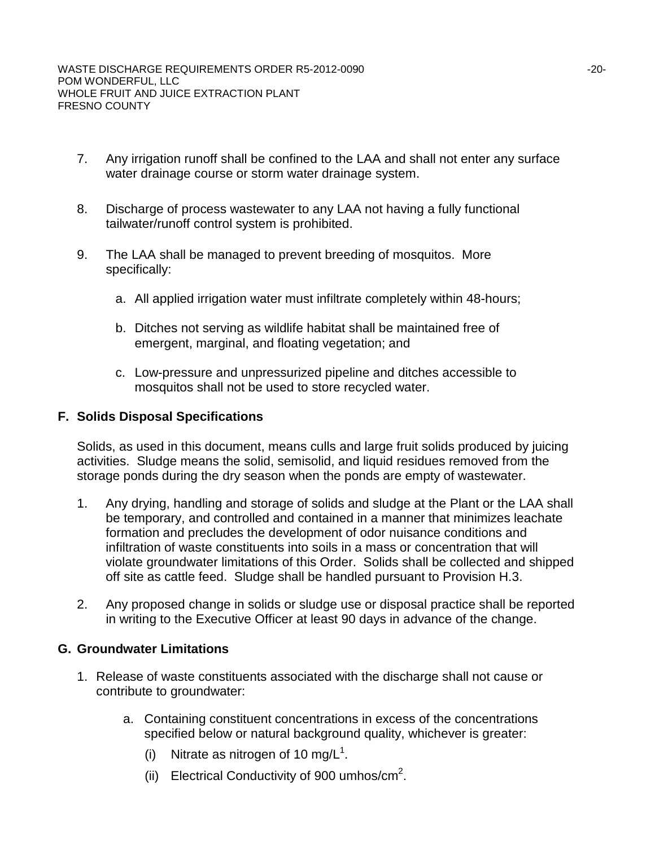- 7. Any irrigation runoff shall be confined to the LAA and shall not enter any surface water drainage course or storm water drainage system.
- 8. Discharge of process wastewater to any LAA not having a fully functional tailwater/runoff control system is prohibited.
- 9. The LAA shall be managed to prevent breeding of mosquitos. More specifically:
	- a. All applied irrigation water must infiltrate completely within 48-hours;
	- b. Ditches not serving as wildlife habitat shall be maintained free of emergent, marginal, and floating vegetation; and
	- c. Low-pressure and unpressurized pipeline and ditches accessible to mosquitos shall not be used to store recycled water.

#### **F. Solids Disposal Specifications**

Solids, as used in this document, means culls and large fruit solids produced by juicing activities. Sludge means the solid, semisolid, and liquid residues removed from the storage ponds during the dry season when the ponds are empty of wastewater.

- 1. Any drying, handling and storage of solids and sludge at the Plant or the LAA shall be temporary, and controlled and contained in a manner that minimizes leachate formation and precludes the development of odor nuisance conditions and infiltration of waste constituents into soils in a mass or concentration that will violate groundwater limitations of this Order. Solids shall be collected and shipped off site as cattle feed. Sludge shall be handled pursuant to Provision H.3.
- 2. Any proposed change in solids or sludge use or disposal practice shall be reported in writing to the Executive Officer at least 90 days in advance of the change.

#### **G. Groundwater Limitations**

- 1. Release of waste constituents associated with the discharge shall not cause or contribute to groundwater:
	- a. Containing constituent concentrations in excess of the concentrations specified below or natural background quality, whichever is greater:
		- (i) Nitrate as nitrogen of 10 mg/ $L<sup>1</sup>$ .
		- (ii) Electrical Conductivity of 900 umhos/ $cm<sup>2</sup>$ .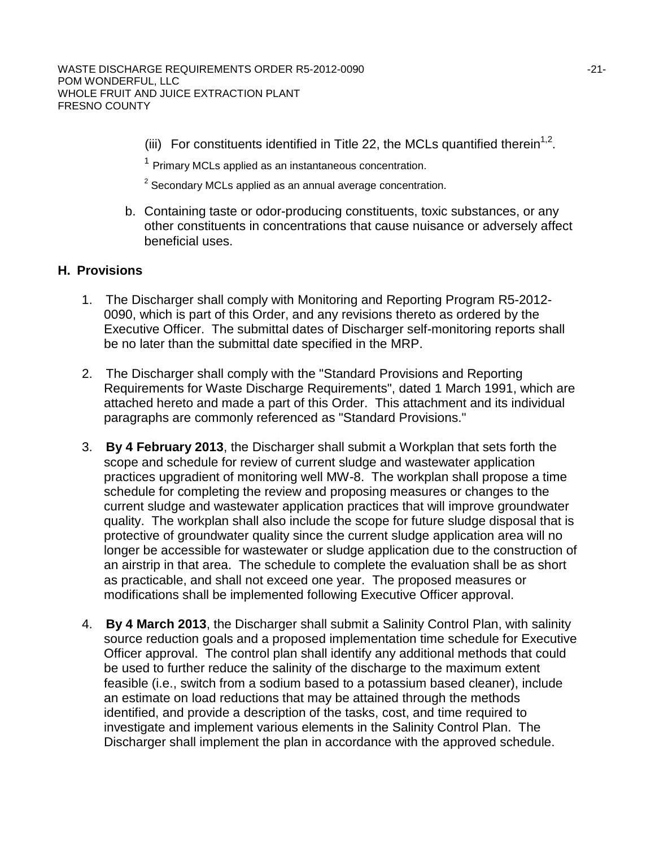(iii) For constituents identified in Title 22, the MCLs quantified therein<sup>1,2</sup>.

 $1$  Primary MCLs applied as an instantaneous concentration.

 $2$  Secondary MCLs applied as an annual average concentration.

b. Containing taste or odor-producing constituents, toxic substances, or any other constituents in concentrations that cause nuisance or adversely affect beneficial uses.

#### **H. Provisions**

- 1. The Discharger shall comply with Monitoring and Reporting Program R5-2012- 0090, which is part of this Order, and any revisions thereto as ordered by the Executive Officer. The submittal dates of Discharger self-monitoring reports shall be no later than the submittal date specified in the MRP.
- 2. The Discharger shall comply with the "Standard Provisions and Reporting Requirements for Waste Discharge Requirements", dated 1 March 1991, which are attached hereto and made a part of this Order. This attachment and its individual paragraphs are commonly referenced as "Standard Provisions."
- 3. **By 4 February 2013**, the Discharger shall submit a Workplan that sets forth the scope and schedule for review of current sludge and wastewater application practices upgradient of monitoring well MW-8. The workplan shall propose a time schedule for completing the review and proposing measures or changes to the current sludge and wastewater application practices that will improve groundwater quality. The workplan shall also include the scope for future sludge disposal that is protective of groundwater quality since the current sludge application area will no longer be accessible for wastewater or sludge application due to the construction of an airstrip in that area. The schedule to complete the evaluation shall be as short as practicable, and shall not exceed one year. The proposed measures or modifications shall be implemented following Executive Officer approval.
- 4. **By 4 March 2013**, the Discharger shall submit a Salinity Control Plan, with salinity source reduction goals and a proposed implementation time schedule for Executive Officer approval. The control plan shall identify any additional methods that could be used to further reduce the salinity of the discharge to the maximum extent feasible (i.e., switch from a sodium based to a potassium based cleaner), include an estimate on load reductions that may be attained through the methods identified, and provide a description of the tasks, cost, and time required to investigate and implement various elements in the Salinity Control Plan. The Discharger shall implement the plan in accordance with the approved schedule.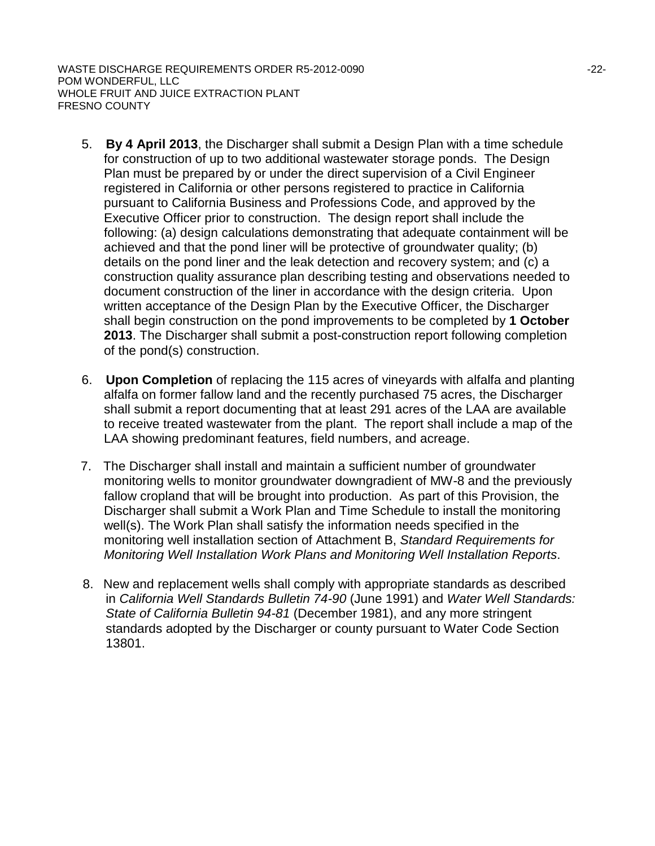WASTE DISCHARGE REQUIREMENTS ORDER R5-2012-0090  $-22$ -POM WONDERFUL, LLC WHOLE FRUIT AND JUICE EXTRACTION PLANT FRESNO COUNTY

- 5. **By 4 April 2013**, the Discharger shall submit a Design Plan with a time schedule for construction of up to two additional wastewater storage ponds. The Design Plan must be prepared by or under the direct supervision of a Civil Engineer registered in California or other persons registered to practice in California pursuant to California Business and Professions Code, and approved by the Executive Officer prior to construction. The design report shall include the following: (a) design calculations demonstrating that adequate containment will be achieved and that the pond liner will be protective of groundwater quality; (b) details on the pond liner and the leak detection and recovery system; and (c) a construction quality assurance plan describing testing and observations needed to document construction of the liner in accordance with the design criteria. Upon written acceptance of the Design Plan by the Executive Officer, the Discharger shall begin construction on the pond improvements to be completed by **1 October 2013**. The Discharger shall submit a post-construction report following completion of the pond(s) construction.
- 6. **Upon Completion** of replacing the 115 acres of vineyards with alfalfa and planting alfalfa on former fallow land and the recently purchased 75 acres, the Discharger shall submit a report documenting that at least 291 acres of the LAA are available to receive treated wastewater from the plant. The report shall include a map of the LAA showing predominant features, field numbers, and acreage.
- 7. The Discharger shall install and maintain a sufficient number of groundwater monitoring wells to monitor groundwater downgradient of MW-8 and the previously fallow cropland that will be brought into production. As part of this Provision, the Discharger shall submit a Work Plan and Time Schedule to install the monitoring well(s). The Work Plan shall satisfy the information needs specified in the monitoring well installation section of Attachment B, *Standard Requirements for Monitoring Well Installation Work Plans and Monitoring Well Installation Reports*.
- 8. New and replacement wells shall comply with appropriate standards as described in *California Well Standards Bulletin 74-90* (June 1991) and *Water Well Standards: State of California Bulletin 94-81* (December 1981), and any more stringent standards adopted by the Discharger or county pursuant to Water Code Section 13801.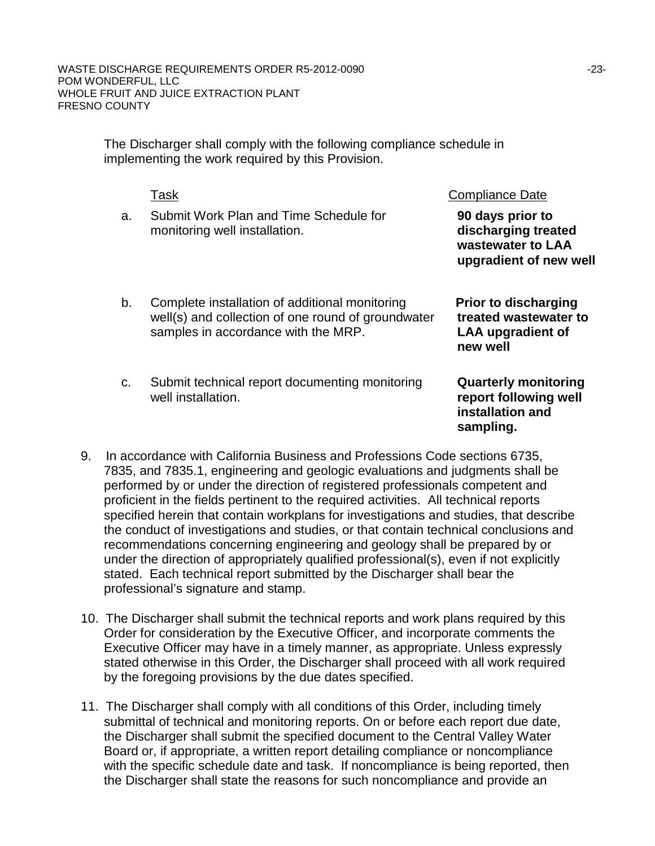The Discharger shall comply with the following compliance schedule in implementing the work required by this Provision.

|    | Task                                                                                                                                        | <b>Compliance Date</b>                                                                       |
|----|---------------------------------------------------------------------------------------------------------------------------------------------|----------------------------------------------------------------------------------------------|
| a. | Submit Work Plan and Time Schedule for<br>monitoring well installation.                                                                     | 90 days prior to<br>discharging treated<br>wastewater to LAA<br>upgradient of new well       |
| b. | Complete installation of additional monitoring<br>well(s) and collection of one round of groundwater<br>samples in accordance with the MRP. | <b>Prior to discharging</b><br>treated wastewater to<br><b>LAA upgradient of</b><br>new well |
| C. | Submit technical report documenting monitoring<br>well installation.                                                                        | <b>Quarterly monitoring</b><br>report following well<br>installation and<br>sampling.        |

- 9. In accordance with California Business and Professions Code sections 6735, 7835, and 7835.1, engineering and geologic evaluations and judgments shall be performed by or under the direction of registered professionals competent and proficient in the fields pertinent to the required activities. All technical reports specified herein that contain workplans for investigations and studies, that describe the conduct of investigations and studies, or that contain technical conclusions and recommendations concerning engineering and geology shall be prepared by or under the direction of appropriately qualified professional(s), even if not explicitly stated. Each technical report submitted by the Discharger shall bear the professional's signature and stamp.
- 10. The Discharger shall submit the technical reports and work plans required by this Order for consideration by the Executive Officer, and incorporate comments the Executive Officer may have in a timely manner, as appropriate. Unless expressly stated otherwise in this Order, the Discharger shall proceed with all work required by the foregoing provisions by the due dates specified.
- 11. The Discharger shall comply with all conditions of this Order, including timely submittal of technical and monitoring reports. On or before each report due date, the Discharger shall submit the specified document to the Central Valley Water Board or, if appropriate, a written report detailing compliance or noncompliance with the specific schedule date and task. If noncompliance is being reported, then the Discharger shall state the reasons for such noncompliance and provide an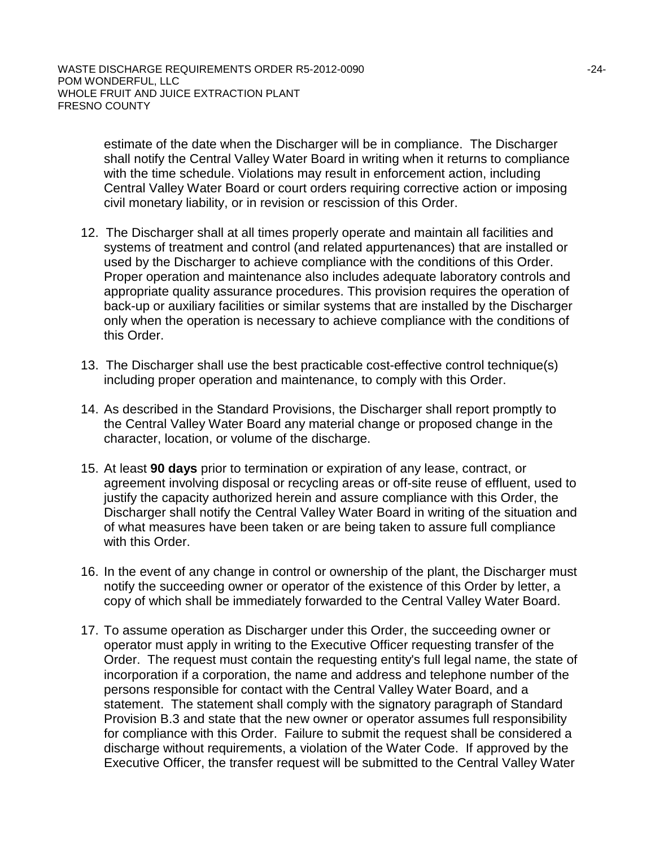estimate of the date when the Discharger will be in compliance. The Discharger shall notify the Central Valley Water Board in writing when it returns to compliance with the time schedule. Violations may result in enforcement action, including Central Valley Water Board or court orders requiring corrective action or imposing civil monetary liability, or in revision or rescission of this Order.

- 12. The Discharger shall at all times properly operate and maintain all facilities and systems of treatment and control (and related appurtenances) that are installed or used by the Discharger to achieve compliance with the conditions of this Order. Proper operation and maintenance also includes adequate laboratory controls and appropriate quality assurance procedures. This provision requires the operation of back-up or auxiliary facilities or similar systems that are installed by the Discharger only when the operation is necessary to achieve compliance with the conditions of this Order.
- 13. The Discharger shall use the best practicable cost-effective control technique(s) including proper operation and maintenance, to comply with this Order.
- 14. As described in the Standard Provisions, the Discharger shall report promptly to the Central Valley Water Board any material change or proposed change in the character, location, or volume of the discharge.
- 15. At least **90 days** prior to termination or expiration of any lease, contract, or agreement involving disposal or recycling areas or off-site reuse of effluent, used to justify the capacity authorized herein and assure compliance with this Order, the Discharger shall notify the Central Valley Water Board in writing of the situation and of what measures have been taken or are being taken to assure full compliance with this Order.
- 16. In the event of any change in control or ownership of the plant, the Discharger must notify the succeeding owner or operator of the existence of this Order by letter, a copy of which shall be immediately forwarded to the Central Valley Water Board.
- 17. To assume operation as Discharger under this Order, the succeeding owner or operator must apply in writing to the Executive Officer requesting transfer of the Order. The request must contain the requesting entity's full legal name, the state of incorporation if a corporation, the name and address and telephone number of the persons responsible for contact with the Central Valley Water Board, and a statement. The statement shall comply with the signatory paragraph of Standard Provision B.3 and state that the new owner or operator assumes full responsibility for compliance with this Order. Failure to submit the request shall be considered a discharge without requirements, a violation of the Water Code. If approved by the Executive Officer, the transfer request will be submitted to the Central Valley Water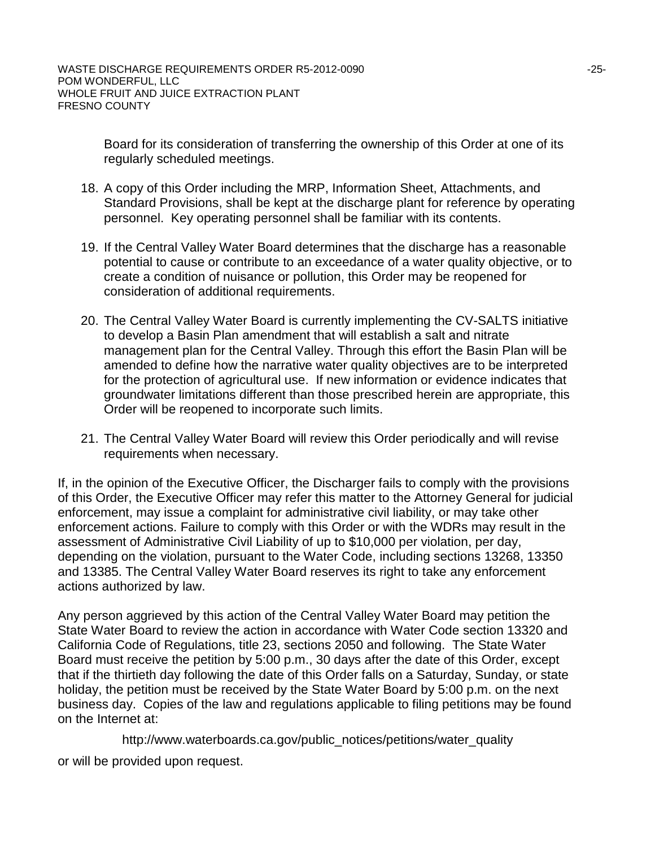Board for its consideration of transferring the ownership of this Order at one of its regularly scheduled meetings.

- 18. A copy of this Order including the MRP, Information Sheet, Attachments, and Standard Provisions, shall be kept at the discharge plant for reference by operating personnel. Key operating personnel shall be familiar with its contents.
- 19. If the Central Valley Water Board determines that the discharge has a reasonable potential to cause or contribute to an exceedance of a water quality objective, or to create a condition of nuisance or pollution, this Order may be reopened for consideration of additional requirements.
- 20. The Central Valley Water Board is currently implementing the CV-SALTS initiative to develop a Basin Plan amendment that will establish a salt and nitrate management plan for the Central Valley. Through this effort the Basin Plan will be amended to define how the narrative water quality objectives are to be interpreted for the protection of agricultural use. If new information or evidence indicates that groundwater limitations different than those prescribed herein are appropriate, this Order will be reopened to incorporate such limits.
- 21. The Central Valley Water Board will review this Order periodically and will revise requirements when necessary.

If, in the opinion of the Executive Officer, the Discharger fails to comply with the provisions of this Order, the Executive Officer may refer this matter to the Attorney General for judicial enforcement, may issue a complaint for administrative civil liability, or may take other enforcement actions. Failure to comply with this Order or with the WDRs may result in the assessment of Administrative Civil Liability of up to \$10,000 per violation, per day, depending on the violation, pursuant to the Water Code, including sections 13268, 13350 and 13385. The Central Valley Water Board reserves its right to take any enforcement actions authorized by law.

Any person aggrieved by this action of the Central Valley Water Board may petition the State Water Board to review the action in accordance with Water Code section 13320 and California Code of Regulations, title 23, sections 2050 and following. The State Water Board must receive the petition by 5:00 p.m., 30 days after the date of this Order, except that if the thirtieth day following the date of this Order falls on a Saturday, Sunday, or state holiday, the petition must be received by the State Water Board by 5:00 p.m. on the next business day. Copies of the law and regulations applicable to filing petitions may be found on the Internet at:

http://www.waterboards.ca.gov/public\_notices/petitions/water\_quality or will be provided upon request.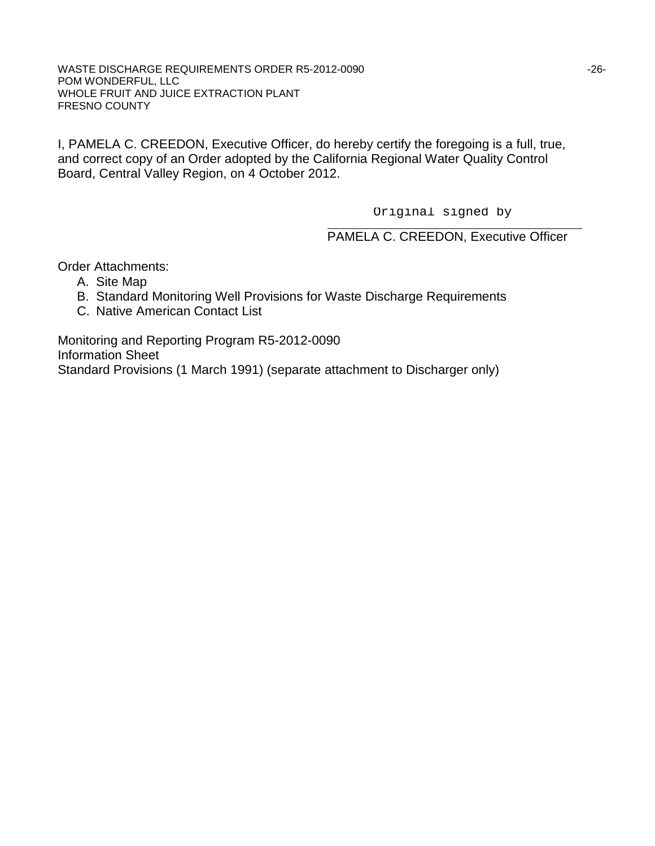I, PAMELA C. CREEDON, Executive Officer, do hereby certify the foregoing is a full, true, and correct copy of an Order adopted by the California Regional Water Quality Control Board, Central Valley Region, on 4 October 2012.

Original signed by

PAMELA C. CREEDON, Executive Officer

Order Attachments:

- A. Site Map
- B. Standard Monitoring Well Provisions for Waste Discharge Requirements
- C. Native American Contact List

Monitoring and Reporting Program R5-2012-0090 Information Sheet Standard Provisions (1 March 1991) (separate attachment to Discharger only)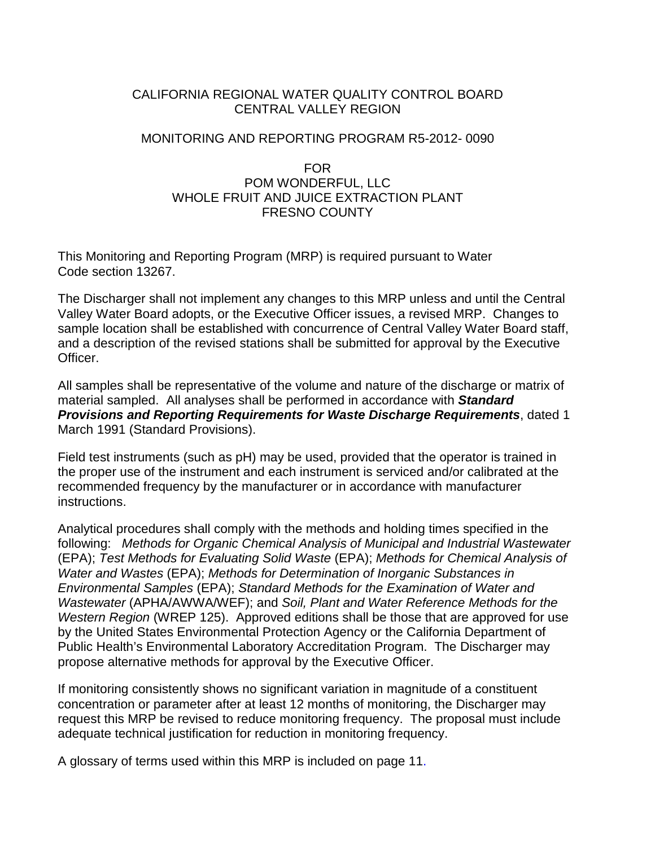### CALIFORNIA REGIONAL WATER QUALITY CONTROL BOARD CENTRAL VALLEY REGION

### MONITORING AND REPORTING PROGRAM R5-2012- 0090

### FOR POM WONDERFUL, LLC WHOLE FRUIT AND JUICE EXTRACTION PLANT FRESNO COUNTY

This Monitoring and Reporting Program (MRP) is required pursuant to Water Code section 13267.

The Discharger shall not implement any changes to this MRP unless and until the Central Valley Water Board adopts, or the Executive Officer issues, a revised MRP. Changes to sample location shall be established with concurrence of Central Valley Water Board staff, and a description of the revised stations shall be submitted for approval by the Executive Officer.

All samples shall be representative of the volume and nature of the discharge or matrix of material sampled. All analyses shall be performed in accordance with *Standard Provisions and Reporting Requirements for Waste Discharge Requirements*, dated 1 March 1991 (Standard Provisions).

Field test instruments (such as pH) may be used, provided that the operator is trained in the proper use of the instrument and each instrument is serviced and/or calibrated at the recommended frequency by the manufacturer or in accordance with manufacturer instructions.

Analytical procedures shall comply with the methods and holding times specified in the following: *Methods for Organic Chemical Analysis of Municipal and Industrial Wastewater* (EPA); *Test Methods for Evaluating Solid Waste* (EPA); *Methods for Chemical Analysis of Water and Wastes* (EPA); *Methods for Determination of Inorganic Substances in Environmental Samples* (EPA); *Standard Methods for the Examination of Water and Wastewater* (APHA/AWWA/WEF); and *Soil, Plant and Water Reference Methods for the Western Region* (WREP 125). Approved editions shall be those that are approved for use by the United States Environmental Protection Agency or the California Department of Public Health's Environmental Laboratory Accreditation Program. The Discharger may propose alternative methods for approval by the Executive Officer.

If monitoring consistently shows no significant variation in magnitude of a constituent concentration or parameter after at least 12 months of monitoring, the Discharger may request this MRP be revised to reduce monitoring frequency. The proposal must include adequate technical justification for reduction in monitoring frequency.

A glossary of terms used within this MRP is included on page 11.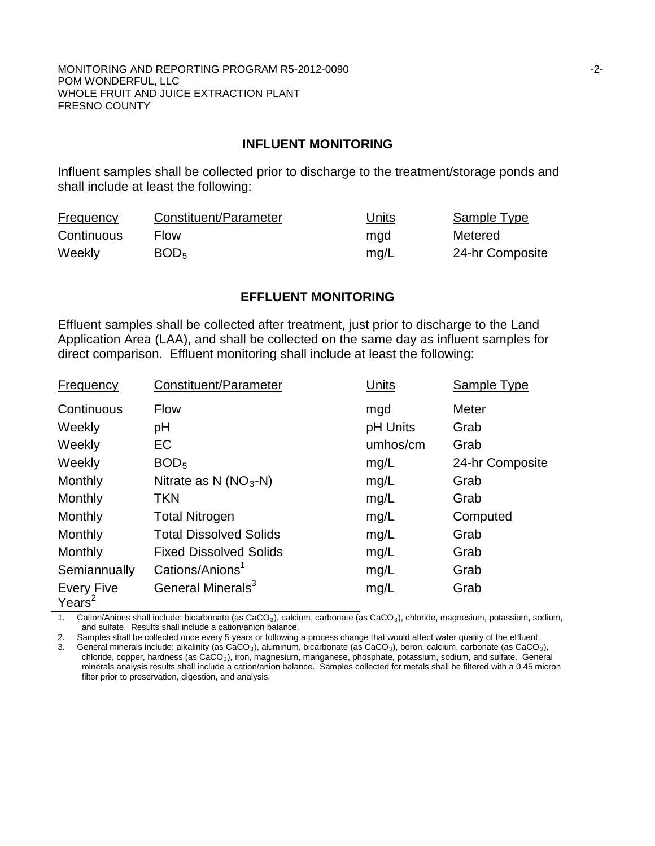#### MONITORING AND REPORTING PROGRAM R5-2012-0090 **FIND 100 CONTROLLEY AND REPORTING** PROGRAM R5-2012-0090 POM WONDERFUL, LLC WHOLE FRUIT AND JUICE EXTRACTION PLANT FRESNO COUNTY

#### **INFLUENT MONITORING**

Influent samples shall be collected prior to discharge to the treatment/storage ponds and shall include at least the following:

| <b>Frequency</b> | Constituent/Parameter | Units | Sample Type     |
|------------------|-----------------------|-------|-----------------|
| Continuous       | <b>Flow</b>           | mgd   | Metered         |
| Weekly           | BOD <sub>5</sub>      | mq/L  | 24-hr Composite |

#### **EFFLUENT MONITORING**

Effluent samples shall be collected after treatment, just prior to discharge to the Land Application Area (LAA), and shall be collected on the same day as influent samples for direct comparison. Effluent monitoring shall include at least the following:

| Frequency                      | Constituent/Parameter         | Units    | Sample Type     |
|--------------------------------|-------------------------------|----------|-----------------|
| Continuous                     | <b>Flow</b>                   | mgd      | Meter           |
| Weekly                         | pH                            | pH Units | Grab            |
| Weekly                         | EC                            | umhos/cm | Grab            |
| Weekly                         | BOD <sub>5</sub>              | mg/L     | 24-hr Composite |
| Monthly                        | Nitrate as N $(NO3-N)$        | mg/L     | Grab            |
| Monthly                        | <b>TKN</b>                    | mg/L     | Grab            |
| Monthly                        | <b>Total Nitrogen</b>         | mg/L     | Computed        |
| Monthly                        | <b>Total Dissolved Solids</b> | mg/L     | Grab            |
| Monthly                        | <b>Fixed Dissolved Solids</b> | mg/L     | Grab            |
| Semiannually                   | Cations/Anions <sup>1</sup>   | mg/L     | Grab            |
| <b>Every Five</b><br>Years $2$ | General Minerals <sup>3</sup> | mg/L     | Grab            |

1. Cation/Anions shall include: bicarbonate (as CaCO<sub>3</sub>), calcium, carbonate (as CaCO<sub>3</sub>), chloride, magnesium, potassium, sodium, and sulfate. Results shall include a cation/anion balance.

2. Samples shall be collected once every 5 years or following a process change that would affect water quality of the effluent.

3. General minerals include: alkalinity (as CaCO<sub>3</sub>), aluminum, bicarbonate (as CaCO<sub>3</sub>), boron, calcium, carbonate (as CaCO<sub>3</sub>), chloride, copper, hardness (as CaCO3), iron, magnesium, manganese, phosphate, potassium, sodium, and sulfate. General minerals analysis results shall include a cation/anion balance. Samples collected for metals shall be filtered with a 0.45 micron filter prior to preservation, digestion, and analysis.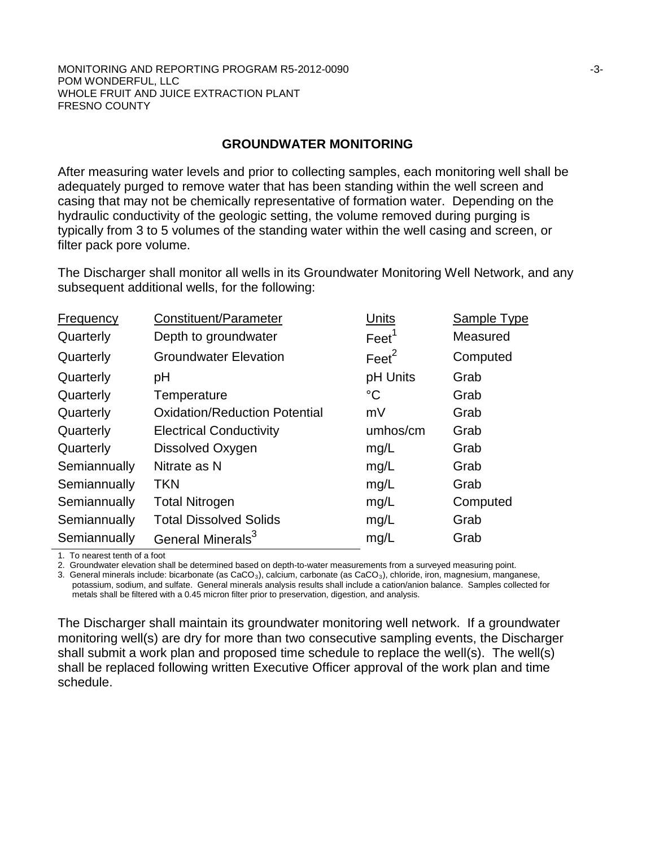#### MONITORING AND REPORTING PROGRAM R5-2012-0090 NON-MAN ASSESSED A SAMPLE ASSESSED FOR A SAMPLE ASSESSED FOR A SAMPLE ASSESSED FOR A SAMPLE ASSESSED FOR A SAMPLE ASSESSED FOR A SAMPLE ASSESSED FOR A SAMPLE ASSESSED FOR A SAM POM WONDERFUL, LLC WHOLE FRUIT AND JUICE EXTRACTION PLANT FRESNO COUNTY

#### **GROUNDWATER MONITORING**

After measuring water levels and prior to collecting samples, each monitoring well shall be adequately purged to remove water that has been standing within the well screen and casing that may not be chemically representative of formation water. Depending on the hydraulic conductivity of the geologic setting, the volume removed during purging is typically from 3 to 5 volumes of the standing water within the well casing and screen, or filter pack pore volume.

The Discharger shall monitor all wells in its Groundwater Monitoring Well Network, and any subsequent additional wells, for the following:

| Frequency    | Constituent/Parameter                | Units             | Sample Type |
|--------------|--------------------------------------|-------------------|-------------|
| Quarterly    | Depth to groundwater                 | $\text{Feet}^1$   | Measured    |
| Quarterly    | <b>Groundwater Elevation</b>         | Feet <sup>2</sup> | Computed    |
| Quarterly    | pH                                   | pH Units          | Grab        |
| Quarterly    | Temperature                          | $^{\circ}C$       | Grab        |
| Quarterly    | <b>Oxidation/Reduction Potential</b> | mV                | Grab        |
| Quarterly    | <b>Electrical Conductivity</b>       | umhos/cm          | Grab        |
| Quarterly    | Dissolved Oxygen                     | mg/L              | Grab        |
| Semiannually | Nitrate as N                         | mg/L              | Grab        |
| Semiannually | TKN                                  | mg/L              | Grab        |
| Semiannually | <b>Total Nitrogen</b>                | mg/L              | Computed    |
| Semiannually | <b>Total Dissolved Solids</b>        | mg/L              | Grab        |
| Semiannually | General Minerals <sup>3</sup>        | mg/L              | Grab        |
|              |                                      |                   |             |

1. To nearest tenth of a foot

2. Groundwater elevation shall be determined based on depth-to-water measurements from a surveyed measuring point.

3. General minerals include: bicarbonate (as CaCO<sub>3</sub>), calcium, carbonate (as CaCO<sub>3</sub>), chloride, iron, magnesium, manganese, potassium, sodium, and sulfate. General minerals analysis results shall include a cation/anion balance. Samples collected for metals shall be filtered with a 0.45 micron filter prior to preservation, digestion, and analysis.

The Discharger shall maintain its groundwater monitoring well network. If a groundwater monitoring well(s) are dry for more than two consecutive sampling events, the Discharger shall submit a work plan and proposed time schedule to replace the well(s). The well(s) shall be replaced following written Executive Officer approval of the work plan and time schedule.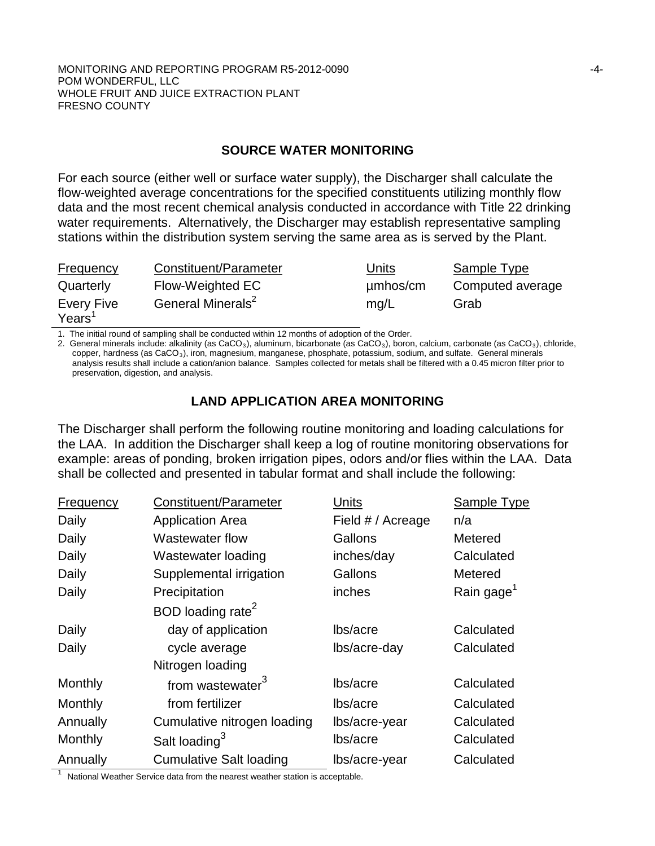## **SOURCE WATER MONITORING**

For each source (either well or surface water supply), the Discharger shall calculate the flow-weighted average concentrations for the specified constituents utilizing monthly flow data and the most recent chemical analysis conducted in accordance with Title 22 drinking water requirements. Alternatively, the Discharger may establish representative sampling stations within the distribution system serving the same area as is served by the Plant.

| <b>Frequency</b>                        | Constituent/Parameter         | Units    | Sample Type      |
|-----------------------------------------|-------------------------------|----------|------------------|
| Quarterly                               | Flow-Weighted EC              | µmbos/cm | Computed average |
| <b>Every Five</b><br>Years <sup>1</sup> | General Minerals <sup>2</sup> | mq/L     | Grab             |

1. The initial round of sampling shall be conducted within 12 months of adoption of the Order.

2. General minerals include: alkalinity (as  $CaCO<sub>3</sub>$ ), aluminum, bicarbonate (as  $CaCO<sub>3</sub>$ ), boron, calcium, carbonate (as  $CaCO<sub>3</sub>$ ), chloride, copper, hardness (as CaCO<sub>3</sub>), iron, magnesium, manganese, phosphate, potassium, sodium, and sulfate. General minerals analysis results shall include a cation/anion balance. Samples collected for metals shall be filtered with a 0.45 micron filter prior to preservation, digestion, and analysis.

# **LAND APPLICATION AREA MONITORING**

The Discharger shall perform the following routine monitoring and loading calculations for the LAA. In addition the Discharger shall keep a log of routine monitoring observations for example: areas of ponding, broken irrigation pipes, odors and/or flies within the LAA. Data shall be collected and presented in tabular format and shall include the following:

| <b>Frequency</b> | Constituent/Parameter          | Units             | Sample Type            |
|------------------|--------------------------------|-------------------|------------------------|
| Daily            | <b>Application Area</b>        | Field # / Acreage | n/a                    |
| Daily            | Wastewater flow                | Gallons           | Metered                |
| Daily            | Wastewater loading             | inches/day        | Calculated             |
| Daily            | Supplemental irrigation        | Gallons           | Metered                |
| Daily            | Precipitation                  | inches            | Rain gage <sup>1</sup> |
|                  | BOD loading rate <sup>2</sup>  |                   |                        |
| Daily            | day of application             | lbs/acre          | Calculated             |
| Daily            | cycle average                  | lbs/acre-day      | Calculated             |
|                  | Nitrogen loading               |                   |                        |
| Monthly          | from wastewater <sup>3</sup>   | lbs/acre          | Calculated             |
| Monthly          | from fertilizer                | lbs/acre          | Calculated             |
| Annually         | Cumulative nitrogen loading    | lbs/acre-year     | Calculated             |
| Monthly          | Salt loading <sup>3</sup>      | lbs/acre          | Calculated             |
| Annually         | <b>Cumulative Salt loading</b> | lbs/acre-year     | Calculated             |

National Weather Service data from the nearest weather station is acceptable.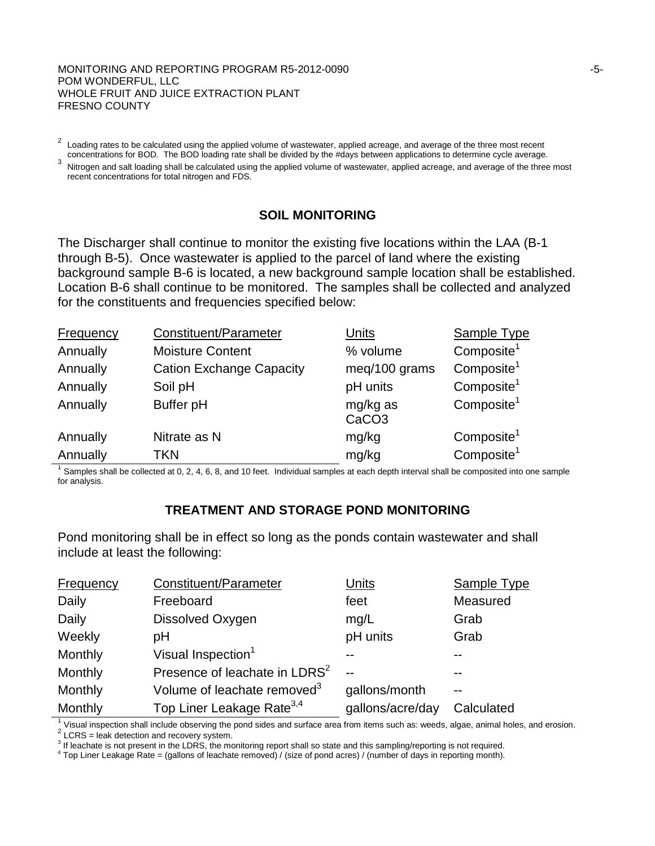#### MONITORING AND REPORTING PROGRAM R5-2012-0090 **FOUND 100 CONTROLLY 100 CONTROLLY 100 CONTROLLY 100** POM WONDERFUL, LLC WHOLE FRUIT AND JUICE EXTRACTION PLANT FRESNO COUNTY

Loading rates to be calculated using the applied volume of wastewater, applied acreage, and average of the three most recent concentrations for BOD. The BOD loading rate shall be divided by the #days between applications t

<sup>3</sup> Nitrogen and salt loading shall be calculated using the applied volume of wastewater, applied acreage, and average of the three most recent concentrations for total nitrogen and FDS.

# **SOIL MONITORING**

The Discharger shall continue to monitor the existing five locations within the LAA (B-1 through B-5). Once wastewater is applied to the parcel of land where the existing background sample B-6 is located, a new background sample location shall be established. Location B-6 shall continue to be monitored. The samples shall be collected and analyzed for the constituents and frequencies specified below:

| <b>Frequency</b> | Constituent/Parameter           | Units                         | <b>Sample Type</b>     |
|------------------|---------------------------------|-------------------------------|------------------------|
| Annually         | <b>Moisture Content</b>         | % volume                      | Composite <sup>1</sup> |
| Annually         | <b>Cation Exchange Capacity</b> | meg/100 grams                 | Composite <sup>1</sup> |
| Annually         | Soil pH                         | pH units                      | Composite <sup>1</sup> |
| Annually         | Buffer pH                       | mg/kg as<br>CaCO <sub>3</sub> | Composite <sup>1</sup> |
| Annually         | Nitrate as N                    | mg/kg                         | Composite <sup>1</sup> |
| Annually         | TKN                             | mg/kg                         | Composite <sup>1</sup> |

Samples shall be collected at 0, 2, 4, 6, 8, and 10 feet. Individual samples at each depth interval shall be composited into one sample for analysis.

## **TREATMENT AND STORAGE POND MONITORING**

Pond monitoring shall be in effect so long as the ponds contain wastewater and shall include at least the following:

| <b>Frequency</b> | Constituent/Parameter                     | <u>Units</u>     | Sample Type |
|------------------|-------------------------------------------|------------------|-------------|
| Daily            | Freeboard                                 | feet             | Measured    |
| Daily            | Dissolved Oxygen                          | mg/L             | Grab        |
| Weekly           | рH                                        | pH units         | Grab        |
| Monthly          | Visual Inspection <sup>1</sup>            |                  |             |
| Monthly          | Presence of leachate in LDRS <sup>2</sup> | $-$              |             |
| Monthly          | Volume of leachate removed <sup>3</sup>   | gallons/month    |             |
| Monthly          | Top Liner Leakage Rate <sup>3,4</sup>     | gallons/acre/day | Calculated  |

<sup>1</sup> Visual inspection shall include observing the pond sides and surface area from items such as: weeds, algae, animal holes, and erosion.<br>
<sup>2</sup> LCRS = leak detection and recovery system.<br>
<sup>3</sup> If leachate is not present in

 $4$  Top Liner Leakage Rate = (gallons of leachate removed) / (size of pond acres) / (number of days in reporting month).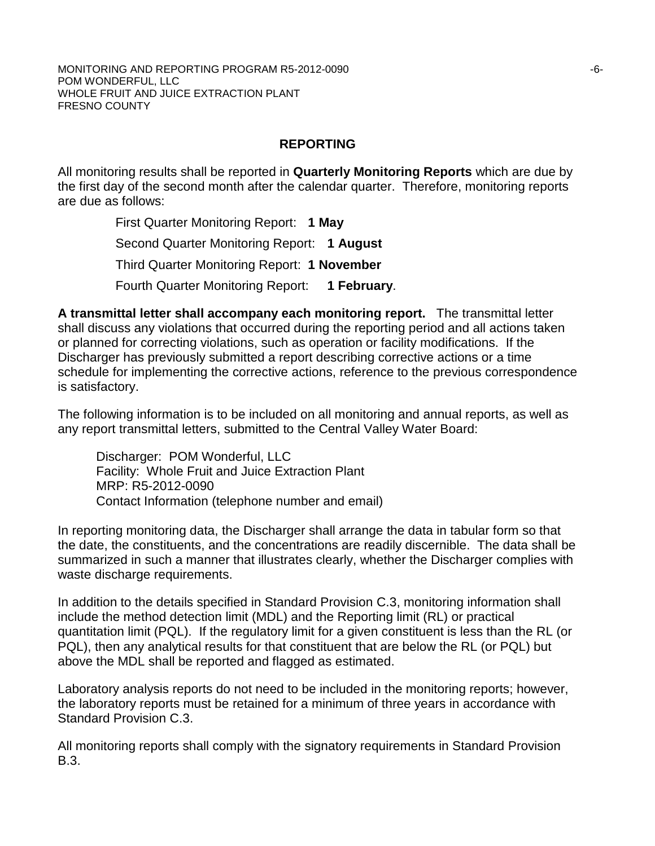#### MONITORING AND REPORTING PROGRAM R5-2012-0090 **FOLLOWING 1999** CONTROLLERY AND THE SERVICE OF SALE OF SALE OF SALE POM WONDERFUL, LLC WHOLE FRUIT AND JUICE EXTRACTION PLANT FRESNO COUNTY

## **REPORTING**

All monitoring results shall be reported in **Quarterly Monitoring Reports** which are due by the first day of the second month after the calendar quarter. Therefore, monitoring reports are due as follows:

> First Quarter Monitoring Report: **1 May** Second Quarter Monitoring Report: **1 August** Third Quarter Monitoring Report: **1 November** Fourth Quarter Monitoring Report: **1 February**.

**A transmittal letter shall accompany each monitoring report.** The transmittal letter shall discuss any violations that occurred during the reporting period and all actions taken or planned for correcting violations, such as operation or facility modifications. If the Discharger has previously submitted a report describing corrective actions or a time schedule for implementing the corrective actions, reference to the previous correspondence is satisfactory.

The following information is to be included on all monitoring and annual reports, as well as any report transmittal letters, submitted to the Central Valley Water Board:

Discharger: POM Wonderful, LLC Facility: Whole Fruit and Juice Extraction Plant MRP: R5-2012-0090 Contact Information (telephone number and email)

In reporting monitoring data, the Discharger shall arrange the data in tabular form so that the date, the constituents, and the concentrations are readily discernible. The data shall be summarized in such a manner that illustrates clearly, whether the Discharger complies with waste discharge requirements.

In addition to the details specified in Standard Provision C.3, monitoring information shall include the method detection limit (MDL) and the Reporting limit (RL) or practical quantitation limit (PQL). If the regulatory limit for a given constituent is less than the RL (or PQL), then any analytical results for that constituent that are below the RL (or PQL) but above the MDL shall be reported and flagged as estimated.

Laboratory analysis reports do not need to be included in the monitoring reports; however, the laboratory reports must be retained for a minimum of three years in accordance with Standard Provision C.3.

All monitoring reports shall comply with the signatory requirements in Standard Provision B.3.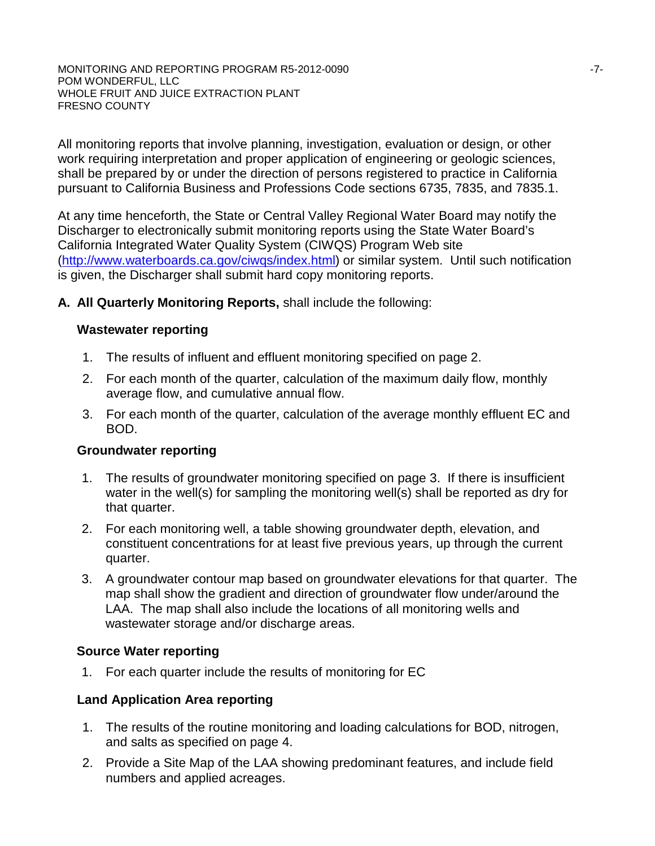MONITORING AND REPORTING PROGRAM R5-2012-0090  $-7$ -POM WONDERFUL, LLC WHOLE FRUIT AND JUICE EXTRACTION PLANT FRESNO COUNTY

All monitoring reports that involve planning, investigation, evaluation or design, or other work requiring interpretation and proper application of engineering or geologic sciences, shall be prepared by or under the direction of persons registered to practice in California pursuant to California Business and Professions Code sections 6735, 7835, and 7835.1.

At any time henceforth, the State or Central Valley Regional Water Board may notify the Discharger to electronically submit monitoring reports using the State Water Board's California Integrated Water Quality System (CIWQS) Program Web site [\(http://www.waterboards.ca.gov/ciwqs/index.html\)](http://www.waterboards.ca.gov/ciwqs/index.html) or similar system. Until such notification is given, the Discharger shall submit hard copy monitoring reports.

**A. All Quarterly Monitoring Reports,** shall include the following:

### **Wastewater reporting**

- 1. The results of influent and effluent monitoring specified on page 2.
- 2. For each month of the quarter, calculation of the maximum daily flow, monthly average flow, and cumulative annual flow.
- 3. For each month of the quarter, calculation of the average monthly effluent EC and BOD.

#### **Groundwater reporting**

- 1. The results of groundwater monitoring specified on page 3. If there is insufficient water in the well(s) for sampling the monitoring well(s) shall be reported as dry for that quarter.
- 2. For each monitoring well, a table showing groundwater depth, elevation, and constituent concentrations for at least five previous years, up through the current quarter.
- 3. A groundwater contour map based on groundwater elevations for that quarter. The map shall show the gradient and direction of groundwater flow under/around the LAA. The map shall also include the locations of all monitoring wells and wastewater storage and/or discharge areas.

## **Source Water reporting**

1. For each quarter include the results of monitoring for EC

## **Land Application Area reporting**

- 1. The results of the routine monitoring and loading calculations for BOD, nitrogen, and salts as specified on page 4.
- 2. Provide a Site Map of the LAA showing predominant features, and include field numbers and applied acreages.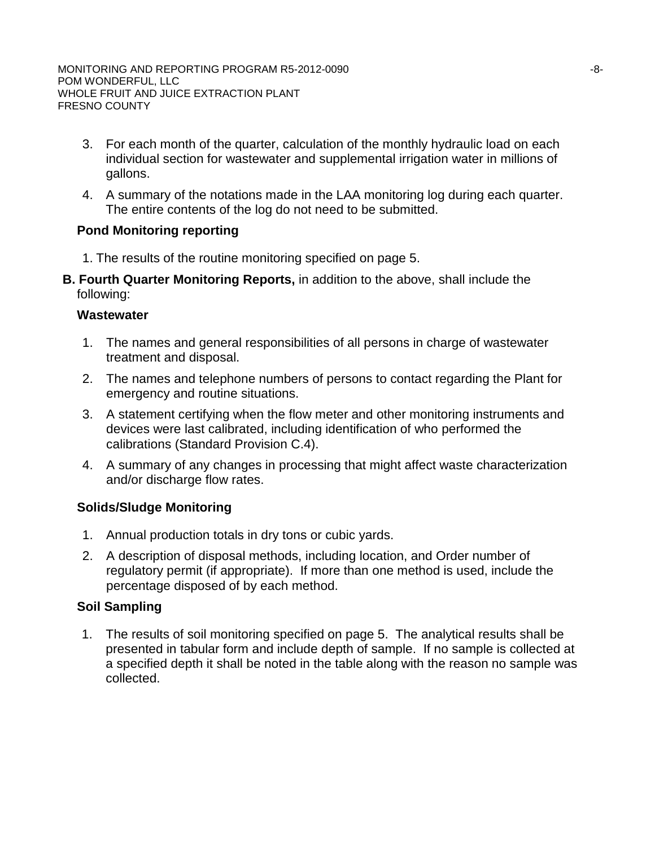- 3. For each month of the quarter, calculation of the monthly hydraulic load on each individual section for wastewater and supplemental irrigation water in millions of gallons.
- 4. A summary of the notations made in the LAA monitoring log during each quarter. The entire contents of the log do not need to be submitted.

# **Pond Monitoring reporting**

- 1. The results of the routine monitoring specified on page 5.
- **B. Fourth Quarter Monitoring Reports,** in addition to the above, shall include the following:

### **Wastewater**

- 1. The names and general responsibilities of all persons in charge of wastewater treatment and disposal.
- 2. The names and telephone numbers of persons to contact regarding the Plant for emergency and routine situations.
- 3. A statement certifying when the flow meter and other monitoring instruments and devices were last calibrated, including identification of who performed the calibrations (Standard Provision C.4).
- 4. A summary of any changes in processing that might affect waste characterization and/or discharge flow rates.

## **Solids/Sludge Monitoring**

- 1. Annual production totals in dry tons or cubic yards.
- 2. A description of disposal methods, including location, and Order number of regulatory permit (if appropriate). If more than one method is used, include the percentage disposed of by each method.

## **Soil Sampling**

1. The results of soil monitoring specified on page 5. The analytical results shall be presented in tabular form and include depth of sample. If no sample is collected at a specified depth it shall be noted in the table along with the reason no sample was collected.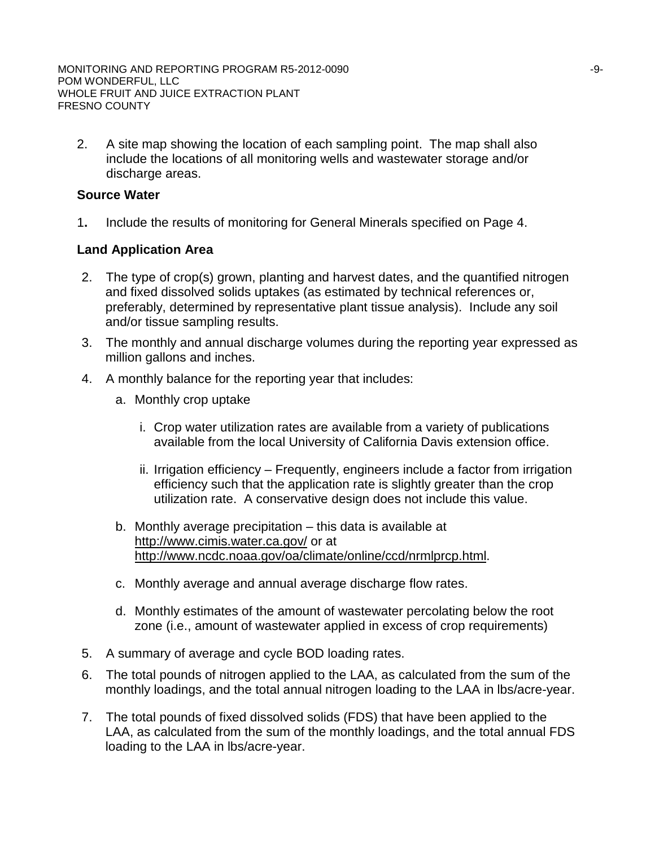2. A site map showing the location of each sampling point. The map shall also include the locations of all monitoring wells and wastewater storage and/or discharge areas.

### **Source Water**

1**.** Include the results of monitoring for General Minerals specified on Page 4.

### **Land Application Area**

- 2. The type of crop(s) grown, planting and harvest dates, and the quantified nitrogen and fixed dissolved solids uptakes (as estimated by technical references or, preferably, determined by representative plant tissue analysis). Include any soil and/or tissue sampling results.
- 3. The monthly and annual discharge volumes during the reporting year expressed as million gallons and inches.
- 4. A monthly balance for the reporting year that includes:
	- a. Monthly crop uptake
		- i. Crop water utilization rates are available from a variety of publications available from the local University of California Davis extension office.
		- ii. Irrigation efficiency Frequently, engineers include a factor from irrigation efficiency such that the application rate is slightly greater than the crop utilization rate. A conservative design does not include this value.
	- b. Monthly average precipitation this data is available at http://www.cimis.water.ca.gov/ or at http://www.ncdc.noaa.gov/oa/climate/online/ccd/nrmlprcp.html.
	- c. Monthly average and annual average discharge flow rates.
	- d. Monthly estimates of the amount of wastewater percolating below the root zone (i.e., amount of wastewater applied in excess of crop requirements)
- 5. A summary of average and cycle BOD loading rates.
- 6. The total pounds of nitrogen applied to the LAA, as calculated from the sum of the monthly loadings, and the total annual nitrogen loading to the LAA in lbs/acre-year.
- 7. The total pounds of fixed dissolved solids (FDS) that have been applied to the LAA, as calculated from the sum of the monthly loadings, and the total annual FDS loading to the LAA in lbs/acre-year.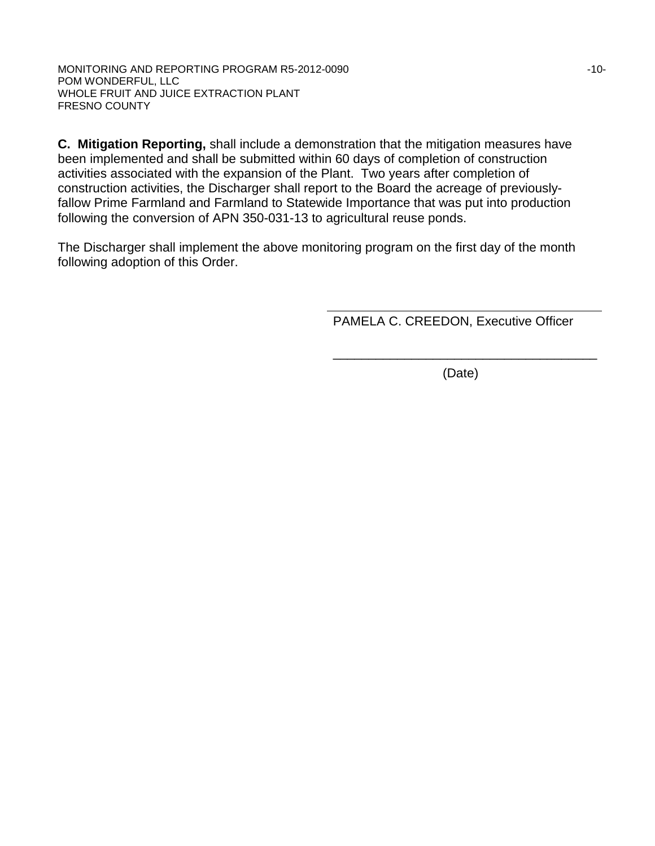MONITORING AND REPORTING PROGRAM R5-2012-0090 **FINDING** 10-10-POM WONDERFUL, LLC WHOLE FRUIT AND JUICE EXTRACTION PLANT FRESNO COUNTY

**C. Mitigation Reporting,** shall include a demonstration that the mitigation measures have been implemented and shall be submitted within 60 days of completion of construction activities associated with the expansion of the Plant. Two years after completion of construction activities, the Discharger shall report to the Board the acreage of previouslyfallow Prime Farmland and Farmland to Statewide Importance that was put into production following the conversion of APN 350-031-13 to agricultural reuse ponds.

The Discharger shall implement the above monitoring program on the first day of the month following adoption of this Order.

PAMELA C. CREEDON, Executive Officer

\_\_\_\_\_\_\_\_\_\_\_\_\_\_\_\_\_\_\_\_\_\_\_\_\_\_\_\_\_\_\_\_\_\_\_\_\_ (Date)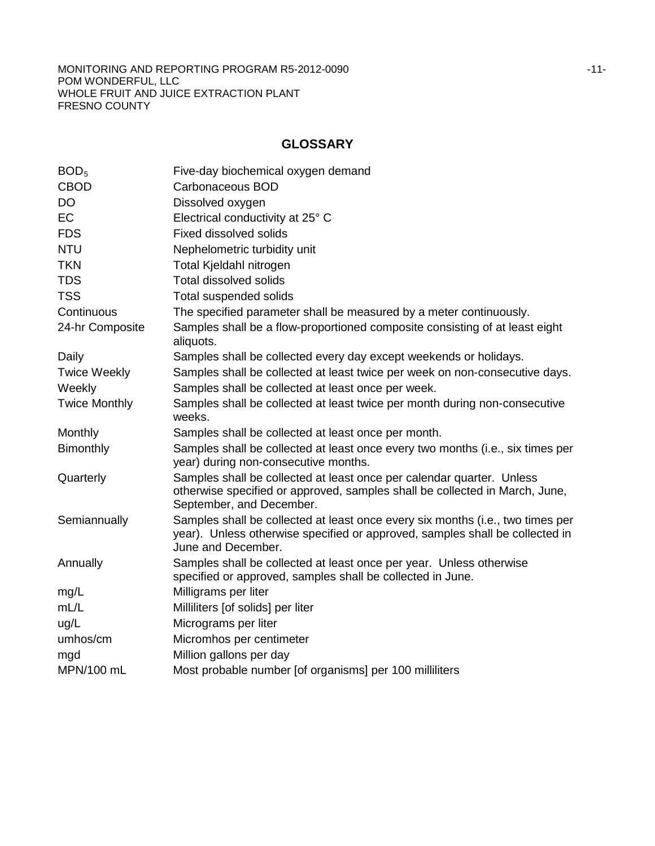MONITORING AND REPORTING PROGRAM R5-2012-0090 **FOR A 2012 11-**POM WONDERFUL, LLC WHOLE FRUIT AND JUICE EXTRACTION PLANT FRESNO COUNTY

# **GLOSSARY**

| BOD <sub>5</sub>     | Five-day biochemical oxygen demand                                                                                                                                                   |
|----------------------|--------------------------------------------------------------------------------------------------------------------------------------------------------------------------------------|
| <b>CBOD</b>          | Carbonaceous BOD                                                                                                                                                                     |
| <b>DO</b>            | Dissolved oxygen                                                                                                                                                                     |
| EC                   | Electrical conductivity at 25° C                                                                                                                                                     |
| <b>FDS</b>           | <b>Fixed dissolved solids</b>                                                                                                                                                        |
| <b>NTU</b>           | Nephelometric turbidity unit                                                                                                                                                         |
| <b>TKN</b>           | Total Kjeldahl nitrogen                                                                                                                                                              |
| <b>TDS</b>           | <b>Total dissolved solids</b>                                                                                                                                                        |
| <b>TSS</b>           | Total suspended solids                                                                                                                                                               |
| Continuous           | The specified parameter shall be measured by a meter continuously.                                                                                                                   |
| 24-hr Composite      | Samples shall be a flow-proportioned composite consisting of at least eight<br>aliquots.                                                                                             |
| Daily                | Samples shall be collected every day except weekends or holidays.                                                                                                                    |
| <b>Twice Weekly</b>  | Samples shall be collected at least twice per week on non-consecutive days.                                                                                                          |
| Weekly               | Samples shall be collected at least once per week.                                                                                                                                   |
| <b>Twice Monthly</b> | Samples shall be collected at least twice per month during non-consecutive<br>weeks.                                                                                                 |
| Monthly              | Samples shall be collected at least once per month.                                                                                                                                  |
| <b>Bimonthly</b>     | Samples shall be collected at least once every two months (i.e., six times per<br>year) during non-consecutive months.                                                               |
| Quarterly            | Samples shall be collected at least once per calendar quarter. Unless<br>otherwise specified or approved, samples shall be collected in March, June,<br>September, and December.     |
| Semiannually         | Samples shall be collected at least once every six months (i.e., two times per<br>year). Unless otherwise specified or approved, samples shall be collected in<br>June and December. |
| Annually             | Samples shall be collected at least once per year. Unless otherwise<br>specified or approved, samples shall be collected in June.                                                    |
| mg/L                 | Milligrams per liter                                                                                                                                                                 |
| mL/L                 | Milliliters [of solids] per liter                                                                                                                                                    |
| ug/L                 | Micrograms per liter                                                                                                                                                                 |
| umhos/cm             | Micromhos per centimeter                                                                                                                                                             |
| mgd                  | Million gallons per day                                                                                                                                                              |
| MPN/100 mL           | Most probable number [of organisms] per 100 milliliters                                                                                                                              |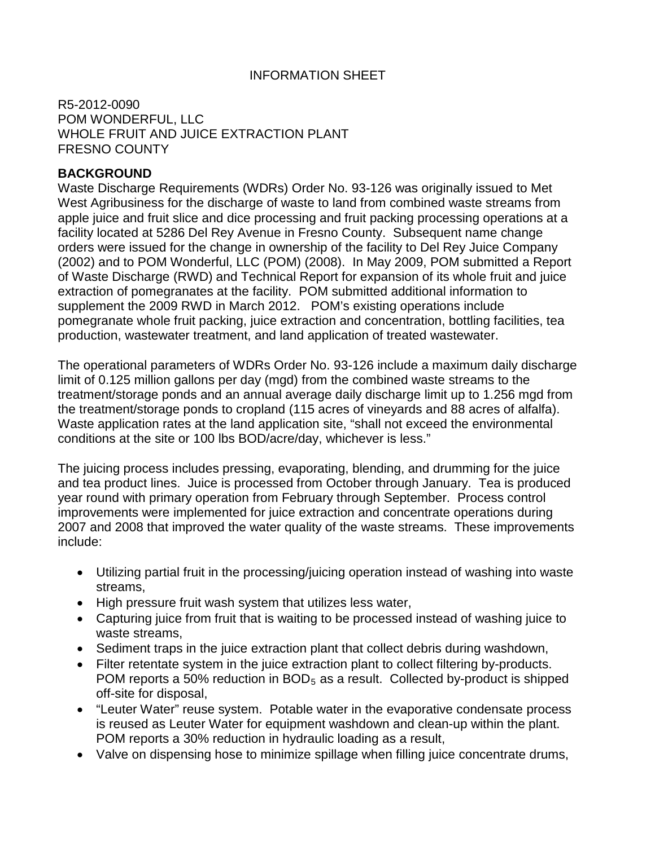## INFORMATION SHEET

R5-2012-0090 POM WONDERFUL, LLC WHOLE FRUIT AND JUICE EXTRACTION PLANT FRESNO COUNTY

## **BACKGROUND**

Waste Discharge Requirements (WDRs) Order No. 93-126 was originally issued to Met West Agribusiness for the discharge of waste to land from combined waste streams from apple juice and fruit slice and dice processing and fruit packing processing operations at a facility located at 5286 Del Rey Avenue in Fresno County. Subsequent name change orders were issued for the change in ownership of the facility to Del Rey Juice Company (2002) and to POM Wonderful, LLC (POM) (2008). In May 2009, POM submitted a Report of Waste Discharge (RWD) and Technical Report for expansion of its whole fruit and juice extraction of pomegranates at the facility. POM submitted additional information to supplement the 2009 RWD in March 2012. POM's existing operations include pomegranate whole fruit packing, juice extraction and concentration, bottling facilities, tea production, wastewater treatment, and land application of treated wastewater.

The operational parameters of WDRs Order No. 93-126 include a maximum daily discharge limit of 0.125 million gallons per day (mgd) from the combined waste streams to the treatment/storage ponds and an annual average daily discharge limit up to 1.256 mgd from the treatment/storage ponds to cropland (115 acres of vineyards and 88 acres of alfalfa). Waste application rates at the land application site, "shall not exceed the environmental conditions at the site or 100 lbs BOD/acre/day, whichever is less."

The juicing process includes pressing, evaporating, blending, and drumming for the juice and tea product lines. Juice is processed from October through January. Tea is produced year round with primary operation from February through September. Process control improvements were implemented for juice extraction and concentrate operations during 2007 and 2008 that improved the water quality of the waste streams. These improvements include:

- Utilizing partial fruit in the processing/juicing operation instead of washing into waste streams,
- High pressure fruit wash system that utilizes less water,
- Capturing juice from fruit that is waiting to be processed instead of washing juice to waste streams,
- Sediment traps in the juice extraction plant that collect debris during washdown,
- Filter retentate system in the juice extraction plant to collect filtering by-products. POM reports a 50% reduction in  $BOD<sub>5</sub>$  as a result. Collected by-product is shipped off-site for disposal,
- "Leuter Water" reuse system. Potable water in the evaporative condensate process is reused as Leuter Water for equipment washdown and clean-up within the plant. POM reports a 30% reduction in hydraulic loading as a result,
- Valve on dispensing hose to minimize spillage when filling juice concentrate drums,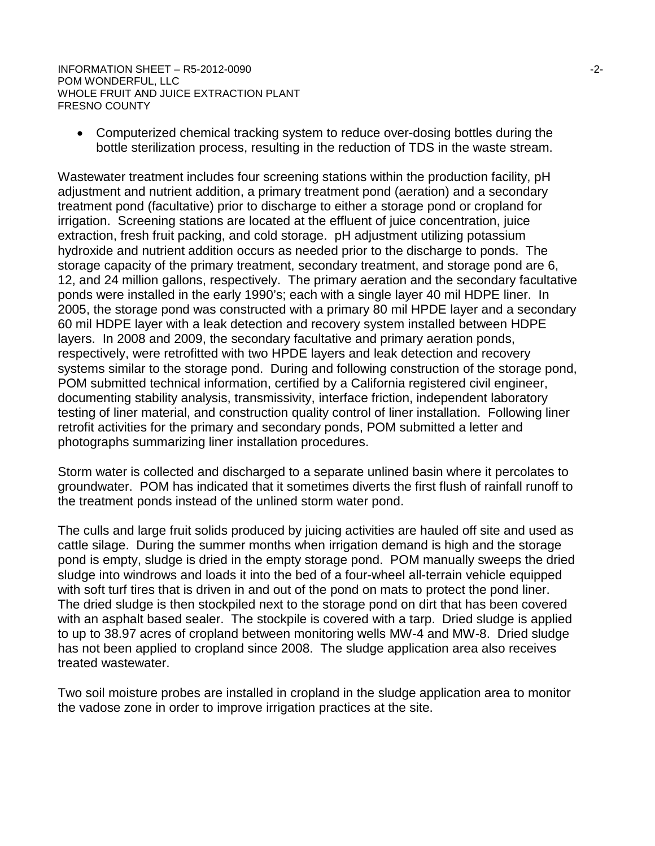INFORMATION SHEET – R5-2012-0090 -2- POM WONDERFUL, LLC WHOLE FRUIT AND JUICE EXTRACTION PLANT FRESNO COUNTY

• Computerized chemical tracking system to reduce over-dosing bottles during the bottle sterilization process, resulting in the reduction of TDS in the waste stream.

Wastewater treatment includes four screening stations within the production facility, pH adjustment and nutrient addition, a primary treatment pond (aeration) and a secondary treatment pond (facultative) prior to discharge to either a storage pond or cropland for irrigation. Screening stations are located at the effluent of juice concentration, juice extraction, fresh fruit packing, and cold storage. pH adjustment utilizing potassium hydroxide and nutrient addition occurs as needed prior to the discharge to ponds. The storage capacity of the primary treatment, secondary treatment, and storage pond are 6, 12, and 24 million gallons, respectively. The primary aeration and the secondary facultative ponds were installed in the early 1990's; each with a single layer 40 mil HDPE liner. In 2005, the storage pond was constructed with a primary 80 mil HPDE layer and a secondary 60 mil HDPE layer with a leak detection and recovery system installed between HDPE layers. In 2008 and 2009, the secondary facultative and primary aeration ponds, respectively, were retrofitted with two HPDE layers and leak detection and recovery systems similar to the storage pond. During and following construction of the storage pond, POM submitted technical information, certified by a California registered civil engineer, documenting stability analysis, transmissivity, interface friction, independent laboratory testing of liner material, and construction quality control of liner installation. Following liner retrofit activities for the primary and secondary ponds, POM submitted a letter and photographs summarizing liner installation procedures.

Storm water is collected and discharged to a separate unlined basin where it percolates to groundwater. POM has indicated that it sometimes diverts the first flush of rainfall runoff to the treatment ponds instead of the unlined storm water pond.

The culls and large fruit solids produced by juicing activities are hauled off site and used as cattle silage. During the summer months when irrigation demand is high and the storage pond is empty, sludge is dried in the empty storage pond. POM manually sweeps the dried sludge into windrows and loads it into the bed of a four-wheel all-terrain vehicle equipped with soft turf tires that is driven in and out of the pond on mats to protect the pond liner. The dried sludge is then stockpiled next to the storage pond on dirt that has been covered with an asphalt based sealer. The stockpile is covered with a tarp. Dried sludge is applied to up to 38.97 acres of cropland between monitoring wells MW-4 and MW-8. Dried sludge has not been applied to cropland since 2008. The sludge application area also receives treated wastewater.

Two soil moisture probes are installed in cropland in the sludge application area to monitor the vadose zone in order to improve irrigation practices at the site.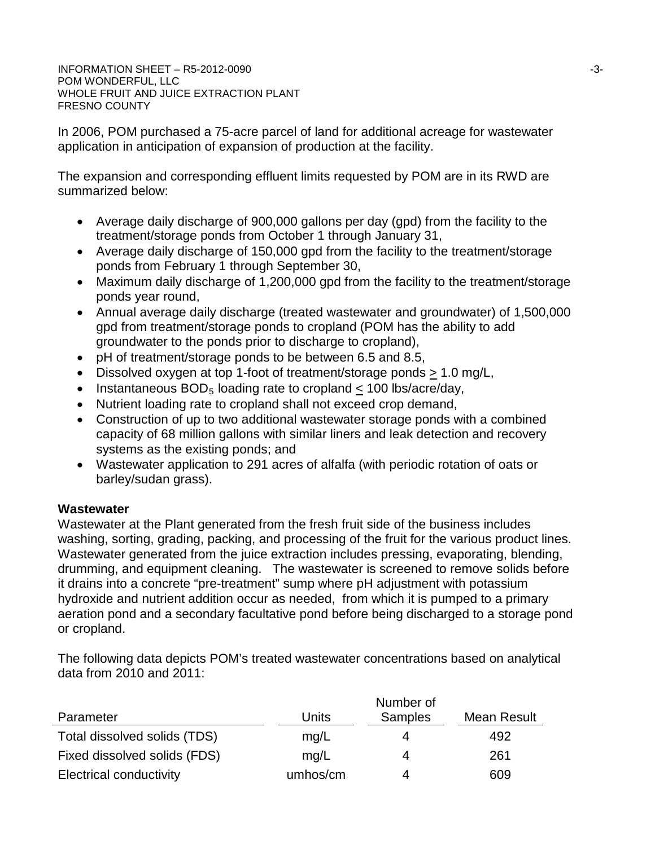INFORMATION SHEET – R5-2012-0090 -3- POM WONDERFUL, LLC WHOLE FRUIT AND JUICE EXTRACTION PLANT FRESNO COUNTY

In 2006, POM purchased a 75-acre parcel of land for additional acreage for wastewater application in anticipation of expansion of production at the facility.

The expansion and corresponding effluent limits requested by POM are in its RWD are summarized below:

- Average daily discharge of 900,000 gallons per day (gpd) from the facility to the treatment/storage ponds from October 1 through January 31,
- Average daily discharge of 150,000 gpd from the facility to the treatment/storage ponds from February 1 through September 30,
- Maximum daily discharge of 1,200,000 gpd from the facility to the treatment/storage ponds year round,
- Annual average daily discharge (treated wastewater and groundwater) of 1,500,000 gpd from treatment/storage ponds to cropland (POM has the ability to add groundwater to the ponds prior to discharge to cropland),
- pH of treatment/storage ponds to be between 6.5 and 8.5,
- Dissolved oxygen at top 1-foot of treatment/storage ponds > 1.0 mg/L,
- Instantaneous  $BOD<sub>5</sub>$  loading rate to cropland  $<$  100 lbs/acre/day,
- Nutrient loading rate to cropland shall not exceed crop demand,
- Construction of up to two additional wastewater storage ponds with a combined capacity of 68 million gallons with similar liners and leak detection and recovery systems as the existing ponds; and
- Wastewater application to 291 acres of alfalfa (with periodic rotation of oats or barley/sudan grass).

## **Wastewater**

Wastewater at the Plant generated from the fresh fruit side of the business includes washing, sorting, grading, packing, and processing of the fruit for the various product lines. Wastewater generated from the juice extraction includes pressing, evaporating, blending, drumming, and equipment cleaning. The wastewater is screened to remove solids before it drains into a concrete "pre-treatment" sump where pH adjustment with potassium hydroxide and nutrient addition occur as needed, from which it is pumped to a primary aeration pond and a secondary facultative pond before being discharged to a storage pond or cropland.

The following data depicts POM's treated wastewater concentrations based on analytical data from 2010 and 2011:

|                                | Number of |                |             |  |
|--------------------------------|-----------|----------------|-------------|--|
| Parameter                      | Units     | <b>Samples</b> | Mean Result |  |
| Total dissolved solids (TDS)   | mq/L      | 4              | 492         |  |
| Fixed dissolved solids (FDS)   | mq/L      | 4              | 261         |  |
| <b>Electrical conductivity</b> | umhos/cm  |                | 609         |  |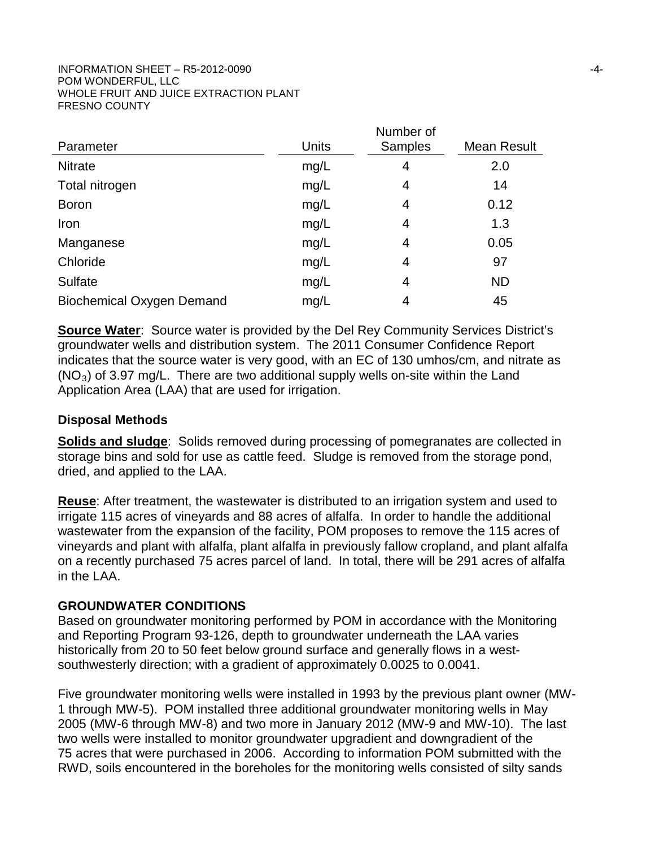|                                  |       | Number of      |             |  |
|----------------------------------|-------|----------------|-------------|--|
| Parameter                        | Units | <b>Samples</b> | Mean Result |  |
| <b>Nitrate</b>                   | mg/L  | 4              | 2.0         |  |
| Total nitrogen                   | mg/L  | 4              | 14          |  |
| <b>Boron</b>                     | mg/L  | 4              | 0.12        |  |
| Iron                             | mg/L  | 4              | 1.3         |  |
| Manganese                        | mg/L  | 4              | 0.05        |  |
| Chloride                         | mg/L  | 4              | 97          |  |
| <b>Sulfate</b>                   | mg/L  | 4              | <b>ND</b>   |  |
| <b>Biochemical Oxygen Demand</b> | mg/L  | 4              | 45          |  |

**Source Water:** Source water is provided by the Del Rey Community Services District's groundwater wells and distribution system. The 2011 Consumer Confidence Report indicates that the source water is very good, with an EC of 130 umhos/cm, and nitrate as  $(NO<sub>3</sub>)$  of 3.97 mg/L. There are two additional supply wells on-site within the Land Application Area (LAA) that are used for irrigation.

## **Disposal Methods**

**Solids and sludge**: Solids removed during processing of pomegranates are collected in storage bins and sold for use as cattle feed. Sludge is removed from the storage pond, dried, and applied to the LAA.

**Reuse**: After treatment, the wastewater is distributed to an irrigation system and used to irrigate 115 acres of vineyards and 88 acres of alfalfa. In order to handle the additional wastewater from the expansion of the facility, POM proposes to remove the 115 acres of vineyards and plant with alfalfa, plant alfalfa in previously fallow cropland, and plant alfalfa on a recently purchased 75 acres parcel of land. In total, there will be 291 acres of alfalfa in the LAA.

## **GROUNDWATER CONDITIONS**

Based on groundwater monitoring performed by POM in accordance with the Monitoring and Reporting Program 93-126, depth to groundwater underneath the LAA varies historically from 20 to 50 feet below ground surface and generally flows in a westsouthwesterly direction; with a gradient of approximately 0.0025 to 0.0041.

Five groundwater monitoring wells were installed in 1993 by the previous plant owner (MW-1 through MW-5). POM installed three additional groundwater monitoring wells in May 2005 (MW-6 through MW-8) and two more in January 2012 (MW-9 and MW-10). The last two wells were installed to monitor groundwater upgradient and downgradient of the 75 acres that were purchased in 2006. According to information POM submitted with the RWD, soils encountered in the boreholes for the monitoring wells consisted of silty sands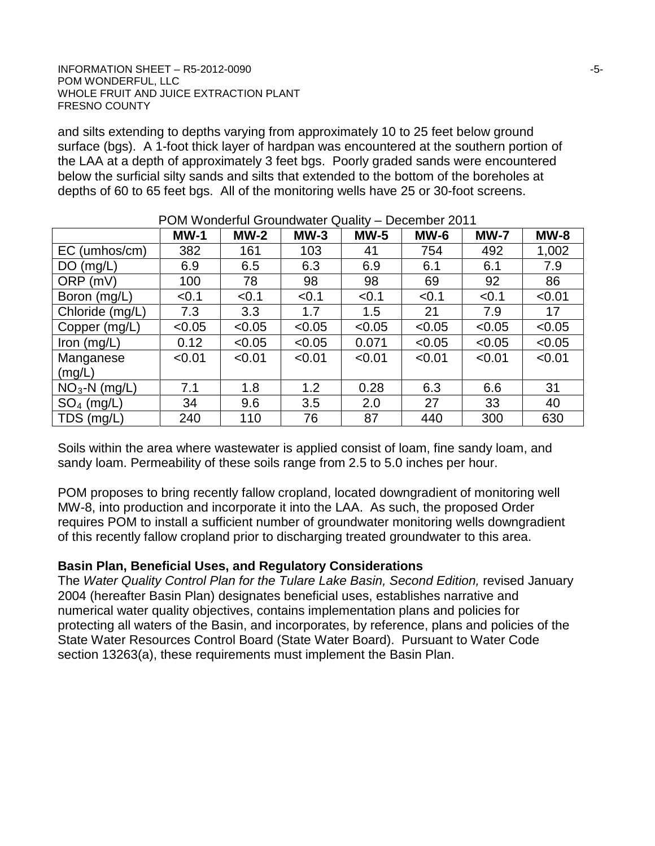#### INFORMATION SHEET – R5-2012-0090 -5- POM WONDERFUL, LLC WHOLE FRUIT AND JUICE EXTRACTION PLANT FRESNO COUNTY

and silts extending to depths varying from approximately 10 to 25 feet below ground surface (bgs). A 1-foot thick layer of hardpan was encountered at the southern portion of the LAA at a depth of approximately 3 feet bgs. Poorly graded sands were encountered below the surficial silty sands and silts that extended to the bottom of the boreholes at depths of 60 to 65 feet bgs. All of the monitoring wells have 25 or 30-foot screens.

|                 | <u>i Uni mundului Uluulumatul Qualite</u><br><b>DUULIIDUL LUTT</b> |        |        |        |        |             |             |  |
|-----------------|--------------------------------------------------------------------|--------|--------|--------|--------|-------------|-------------|--|
|                 | $MW-1$                                                             | $MW-2$ | $MW-3$ | $MW-5$ | $MW-6$ | <b>MW-7</b> | <b>MW-8</b> |  |
| EC (umhos/cm)   | 382                                                                | 161    | 103    | 41     | 754    | 492         | 1,002       |  |
| DO(mg/L)        | 6.9                                                                | 6.5    | 6.3    | 6.9    | 6.1    | 6.1         | 7.9         |  |
| ORP (mV)        | 100                                                                | 78     | 98     | 98     | 69     | 92          | 86          |  |
| Boron (mg/L)    | < 0.1                                                              | < 0.1  | < 0.1  | < 0.1  | < 0.1  | < 0.1       | < 0.01      |  |
| Chloride (mg/L) | 7.3                                                                | 3.3    | 1.7    | 1.5    | 21     | 7.9         | 17          |  |
| Copper (mg/L)   | < 0.05                                                             | < 0.05 | < 0.05 | < 0.05 | < 0.05 | < 0.05      | < 0.05      |  |
| Iron $(mg/L)$   | 0.12                                                               | < 0.05 | < 0.05 | 0.071  | < 0.05 | < 0.05      | < 0.05      |  |
| Manganese       | < 0.01                                                             | < 0.01 | < 0.01 | < 0.01 | < 0.01 | < 0.01      | < 0.01      |  |
| (mg/L)          |                                                                    |        |        |        |        |             |             |  |
| $NO3-N$ (mg/L)  | 7.1                                                                | 1.8    | 1.2    | 0.28   | 6.3    | 6.6         | 31          |  |
| $SO_4$ (mg/L)   | 34                                                                 | 9.6    | 3.5    | 2.0    | 27     | 33          | 40          |  |
| TDS (mg/L)      | 240                                                                | 110    | 76     | 87     | 440    | 300         | 630         |  |

POM Wonderful Groundwater Quality – December 2011

Soils within the area where wastewater is applied consist of loam, fine sandy loam, and sandy loam. Permeability of these soils range from 2.5 to 5.0 inches per hour.

POM proposes to bring recently fallow cropland, located downgradient of monitoring well MW-8, into production and incorporate it into the LAA. As such, the proposed Order requires POM to install a sufficient number of groundwater monitoring wells downgradient of this recently fallow cropland prior to discharging treated groundwater to this area.

## **Basin Plan, Beneficial Uses, and Regulatory Considerations**

The *Water Quality Control Plan for the Tulare Lake Basin, Second Edition, revised January* 2004 (hereafter Basin Plan) designates beneficial uses, establishes narrative and numerical water quality objectives, contains implementation plans and policies for protecting all waters of the Basin, and incorporates, by reference, plans and policies of the State Water Resources Control Board (State Water Board). Pursuant to Water Code section 13263(a), these requirements must implement the Basin Plan.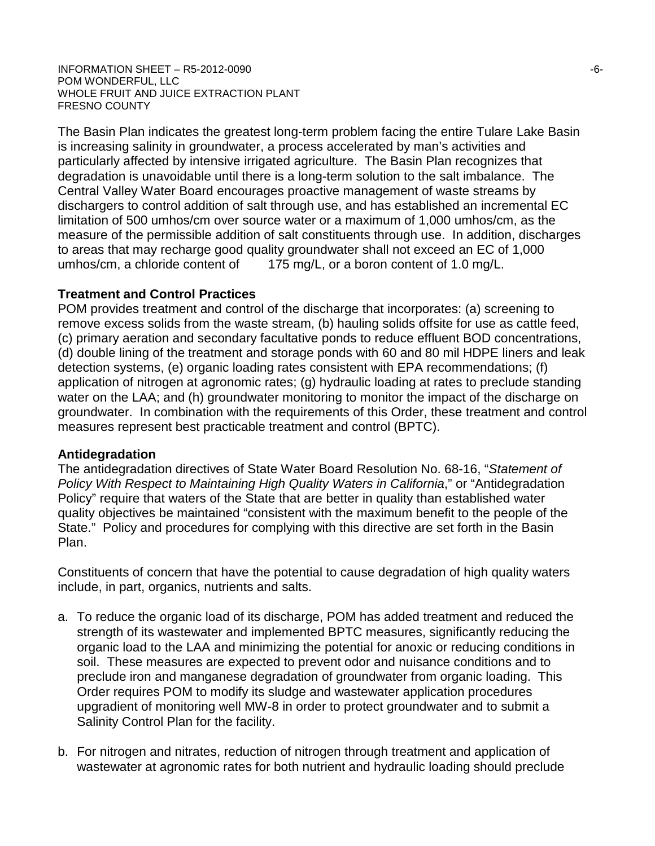#### $I$ NFORMATION SHEET – R5-2012-0090  $-6$ -POM WONDERFUL, LLC WHOLE FRUIT AND JUICE EXTRACTION PLANT FRESNO COUNTY

The Basin Plan indicates the greatest long-term problem facing the entire Tulare Lake Basin is increasing salinity in groundwater, a process accelerated by man's activities and particularly affected by intensive irrigated agriculture. The Basin Plan recognizes that degradation is unavoidable until there is a long-term solution to the salt imbalance. The Central Valley Water Board encourages proactive management of waste streams by dischargers to control addition of salt through use, and has established an incremental EC limitation of 500 umhos/cm over source water or a maximum of 1,000 umhos/cm, as the measure of the permissible addition of salt constituents through use. In addition, discharges to areas that may recharge good quality groundwater shall not exceed an EC of 1,000 umhos/cm, a chloride content of 175 mg/L, or a boron content of 1.0 mg/L.

## **Treatment and Control Practices**

POM provides treatment and control of the discharge that incorporates: (a) screening to remove excess solids from the waste stream, (b) hauling solids offsite for use as cattle feed, (c) primary aeration and secondary facultative ponds to reduce effluent BOD concentrations, (d) double lining of the treatment and storage ponds with 60 and 80 mil HDPE liners and leak detection systems, (e) organic loading rates consistent with EPA recommendations; (f) application of nitrogen at agronomic rates; (g) hydraulic loading at rates to preclude standing water on the LAA; and (h) groundwater monitoring to monitor the impact of the discharge on groundwater. In combination with the requirements of this Order, these treatment and control measures represent best practicable treatment and control (BPTC).

## **Antidegradation**

The antidegradation directives of State Water Board Resolution No. 68-16, "*Statement of Policy With Respect to Maintaining High Quality Waters in California*," or "Antidegradation Policy" require that waters of the State that are better in quality than established water quality objectives be maintained "consistent with the maximum benefit to the people of the State." Policy and procedures for complying with this directive are set forth in the Basin Plan.

Constituents of concern that have the potential to cause degradation of high quality waters include, in part, organics, nutrients and salts.

- a. To reduce the organic load of its discharge, POM has added treatment and reduced the strength of its wastewater and implemented BPTC measures, significantly reducing the organic load to the LAA and minimizing the potential for anoxic or reducing conditions in soil. These measures are expected to prevent odor and nuisance conditions and to preclude iron and manganese degradation of groundwater from organic loading. This Order requires POM to modify its sludge and wastewater application procedures upgradient of monitoring well MW-8 in order to protect groundwater and to submit a Salinity Control Plan for the facility.
- b. For nitrogen and nitrates, reduction of nitrogen through treatment and application of wastewater at agronomic rates for both nutrient and hydraulic loading should preclude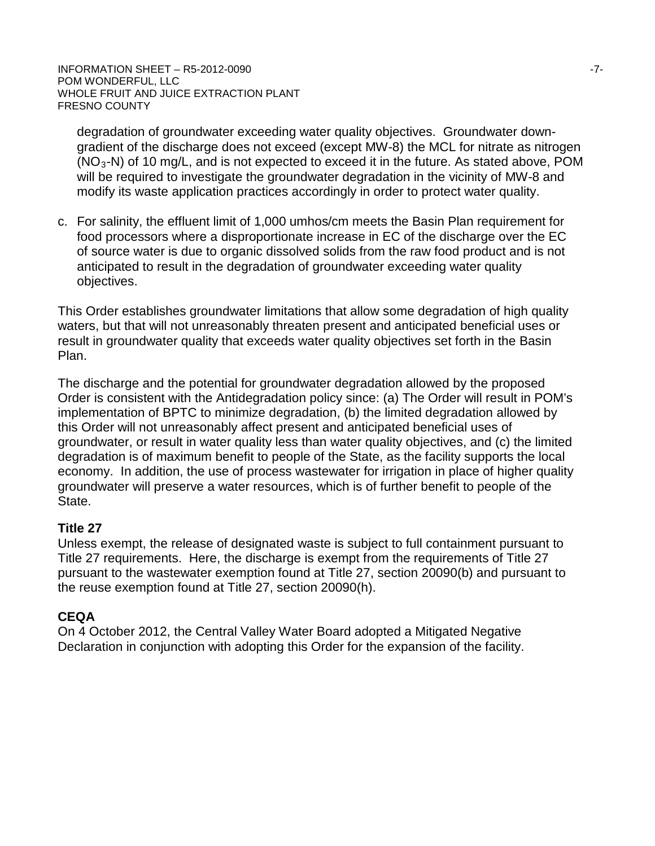degradation of groundwater exceeding water quality objectives. Groundwater downgradient of the discharge does not exceed (except MW-8) the MCL for nitrate as nitrogen  $(NO<sub>3</sub>-N)$  of 10 mg/L, and is not expected to exceed it in the future. As stated above, POM will be required to investigate the groundwater degradation in the vicinity of MW-8 and modify its waste application practices accordingly in order to protect water quality.

c. For salinity, the effluent limit of 1,000 umhos/cm meets the Basin Plan requirement for food processors where a disproportionate increase in EC of the discharge over the EC of source water is due to organic dissolved solids from the raw food product and is not anticipated to result in the degradation of groundwater exceeding water quality objectives.

This Order establishes groundwater limitations that allow some degradation of high quality waters, but that will not unreasonably threaten present and anticipated beneficial uses or result in groundwater quality that exceeds water quality objectives set forth in the Basin Plan.

The discharge and the potential for groundwater degradation allowed by the proposed Order is consistent with the Antidegradation policy since: (a) The Order will result in POM's implementation of BPTC to minimize degradation, (b) the limited degradation allowed by this Order will not unreasonably affect present and anticipated beneficial uses of groundwater, or result in water quality less than water quality objectives, and (c) the limited degradation is of maximum benefit to people of the State, as the facility supports the local economy. In addition, the use of process wastewater for irrigation in place of higher quality groundwater will preserve a water resources, which is of further benefit to people of the State.

## **Title 27**

Unless exempt, the release of designated waste is subject to full containment pursuant to Title 27 requirements. Here, the discharge is exempt from the requirements of Title 27 pursuant to the wastewater exemption found at Title 27, section 20090(b) and pursuant to the reuse exemption found at Title 27, section 20090(h).

## **CEQA**

On 4 October 2012, the Central Valley Water Board adopted a Mitigated Negative Declaration in conjunction with adopting this Order for the expansion of the facility.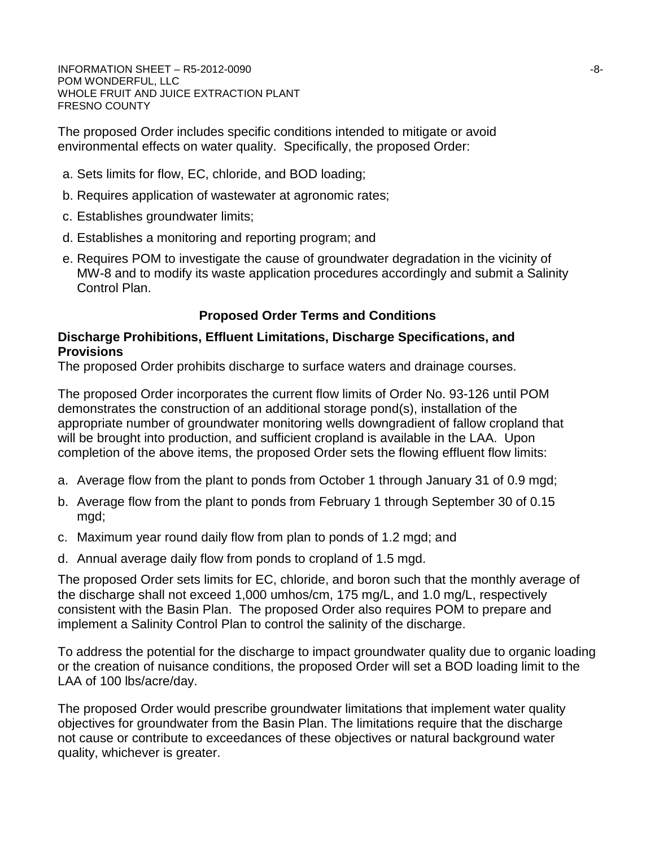$\blacksquare$ INFORMATION SHEET – R5-2012-0090  $\blacksquare$ POM WONDERFUL, LLC WHOLE FRUIT AND JUICE EXTRACTION PLANT FRESNO COUNTY

The proposed Order includes specific conditions intended to mitigate or avoid environmental effects on water quality. Specifically, the proposed Order:

- a. Sets limits for flow, EC, chloride, and BOD loading;
- b. Requires application of wastewater at agronomic rates;
- c. Establishes groundwater limits;
- d. Establishes a monitoring and reporting program; and
- e. Requires POM to investigate the cause of groundwater degradation in the vicinity of MW-8 and to modify its waste application procedures accordingly and submit a Salinity Control Plan.

## **Proposed Order Terms and Conditions**

## **Discharge Prohibitions, Effluent Limitations, Discharge Specifications, and Provisions**

The proposed Order prohibits discharge to surface waters and drainage courses.

The proposed Order incorporates the current flow limits of Order No. 93-126 until POM demonstrates the construction of an additional storage pond(s), installation of the appropriate number of groundwater monitoring wells downgradient of fallow cropland that will be brought into production, and sufficient cropland is available in the LAA. Upon completion of the above items, the proposed Order sets the flowing effluent flow limits:

- a. Average flow from the plant to ponds from October 1 through January 31 of 0.9 mgd;
- b. Average flow from the plant to ponds from February 1 through September 30 of 0.15 mgd;
- c. Maximum year round daily flow from plan to ponds of 1.2 mgd; and
- d. Annual average daily flow from ponds to cropland of 1.5 mgd.

The proposed Order sets limits for EC, chloride, and boron such that the monthly average of the discharge shall not exceed 1,000 umhos/cm, 175 mg/L, and 1.0 mg/L, respectively consistent with the Basin Plan. The proposed Order also requires POM to prepare and implement a Salinity Control Plan to control the salinity of the discharge.

To address the potential for the discharge to impact groundwater quality due to organic loading or the creation of nuisance conditions, the proposed Order will set a BOD loading limit to the LAA of 100 lbs/acre/day.

The proposed Order would prescribe groundwater limitations that implement water quality objectives for groundwater from the Basin Plan. The limitations require that the discharge not cause or contribute to exceedances of these objectives or natural background water quality, whichever is greater.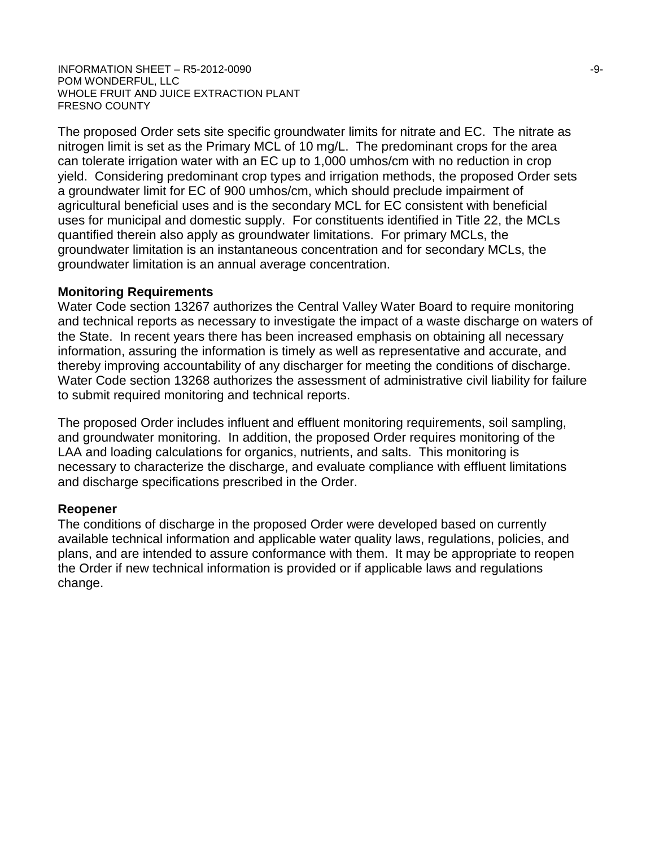#### INFORMATION SHEET – R5-2012-0090 -9- POM WONDERFUL, LLC WHOLE FRUIT AND JUICE EXTRACTION PLANT FRESNO COUNTY

The proposed Order sets site specific groundwater limits for nitrate and EC. The nitrate as nitrogen limit is set as the Primary MCL of 10 mg/L. The predominant crops for the area can tolerate irrigation water with an EC up to 1,000 umhos/cm with no reduction in crop yield. Considering predominant crop types and irrigation methods, the proposed Order sets a groundwater limit for EC of 900 umhos/cm, which should preclude impairment of agricultural beneficial uses and is the secondary MCL for EC consistent with beneficial uses for municipal and domestic supply. For constituents identified in Title 22, the MCLs quantified therein also apply as groundwater limitations. For primary MCLs, the groundwater limitation is an instantaneous concentration and for secondary MCLs, the groundwater limitation is an annual average concentration.

### **Monitoring Requirements**

Water Code section 13267 authorizes the Central Valley Water Board to require monitoring and technical reports as necessary to investigate the impact of a waste discharge on waters of the State. In recent years there has been increased emphasis on obtaining all necessary information, assuring the information is timely as well as representative and accurate, and thereby improving accountability of any discharger for meeting the conditions of discharge. Water Code section 13268 authorizes the assessment of administrative civil liability for failure to submit required monitoring and technical reports.

The proposed Order includes influent and effluent monitoring requirements, soil sampling, and groundwater monitoring. In addition, the proposed Order requires monitoring of the LAA and loading calculations for organics, nutrients, and salts. This monitoring is necessary to characterize the discharge, and evaluate compliance with effluent limitations and discharge specifications prescribed in the Order.

## **Reopener**

The conditions of discharge in the proposed Order were developed based on currently available technical information and applicable water quality laws, regulations, policies, and plans, and are intended to assure conformance with them. It may be appropriate to reopen the Order if new technical information is provided or if applicable laws and regulations change.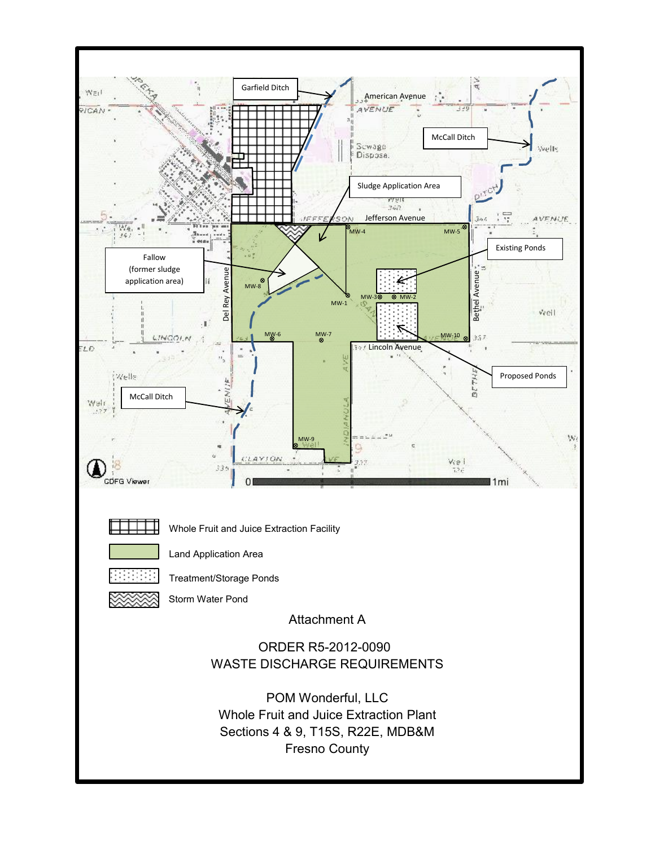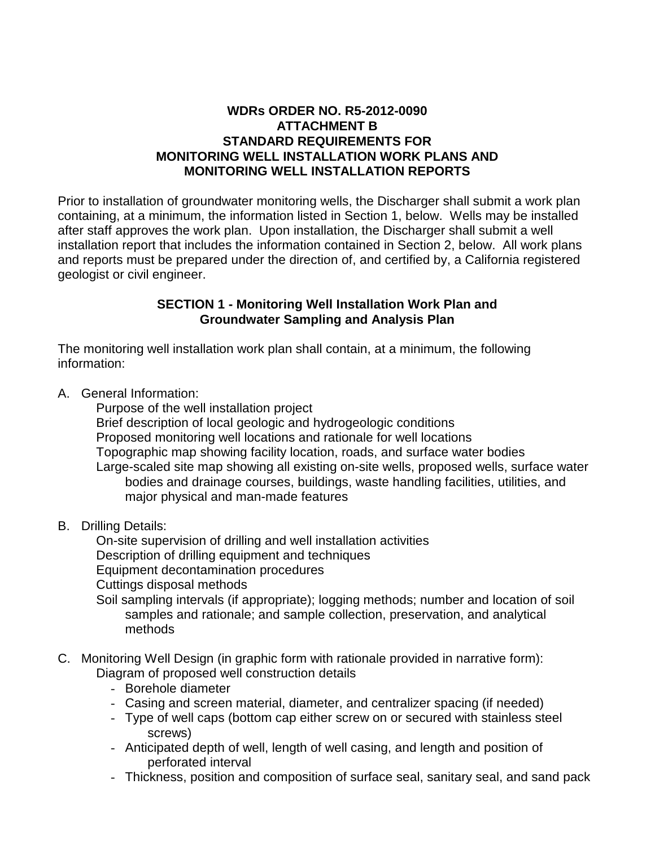## **WDRs ORDER NO. R5-2012-0090 ATTACHMENT B STANDARD REQUIREMENTS FOR MONITORING WELL INSTALLATION WORK PLANS AND MONITORING WELL INSTALLATION REPORTS**

Prior to installation of groundwater monitoring wells, the Discharger shall submit a work plan containing, at a minimum, the information listed in Section 1, below. Wells may be installed after staff approves the work plan. Upon installation, the Discharger shall submit a well installation report that includes the information contained in Section 2, below. All work plans and reports must be prepared under the direction of, and certified by, a California registered geologist or civil engineer.

## **SECTION 1 - Monitoring Well Installation Work Plan and Groundwater Sampling and Analysis Plan**

The monitoring well installation work plan shall contain, at a minimum, the following information:

A. General Information:

Purpose of the well installation project

Brief description of local geologic and hydrogeologic conditions Proposed monitoring well locations and rationale for well locations Topographic map showing facility location, roads, and surface water bodies Large-scaled site map showing all existing on-site wells, proposed wells, surface water bodies and drainage courses, buildings, waste handling facilities, utilities, and major physical and man-made features

B. Drilling Details:

On-site supervision of drilling and well installation activities Description of drilling equipment and techniques Equipment decontamination procedures Cuttings disposal methods Soil sampling intervals (if appropriate); logging methods; number and location of soil

- samples and rationale; and sample collection, preservation, and analytical methods
- C. Monitoring Well Design (in graphic form with rationale provided in narrative form): Diagram of proposed well construction details
	- Borehole diameter
	- Casing and screen material, diameter, and centralizer spacing (if needed)
	- Type of well caps (bottom cap either screw on or secured with stainless steel screws)
	- Anticipated depth of well, length of well casing, and length and position of perforated interval
	- Thickness, position and composition of surface seal, sanitary seal, and sand pack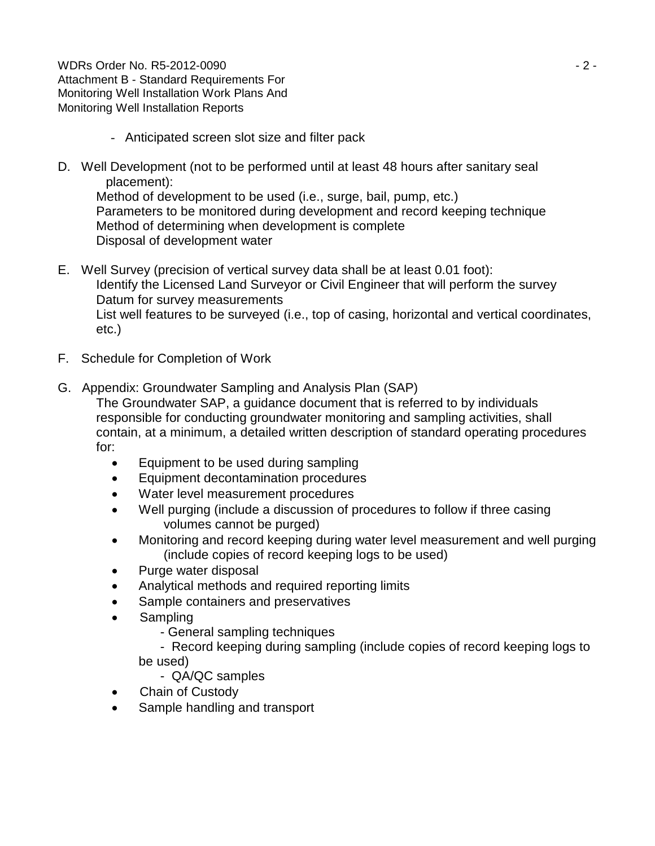WDRs Order No. R5-2012-0090 - 2 - Attachment B - Standard Requirements For Monitoring Well Installation Work Plans And Monitoring Well Installation Reports

- Anticipated screen slot size and filter pack
- D. Well Development (not to be performed until at least 48 hours after sanitary seal placement):

Method of development to be used (i.e., surge, bail, pump, etc.) Parameters to be monitored during development and record keeping technique Method of determining when development is complete Disposal of development water

- E. Well Survey (precision of vertical survey data shall be at least 0.01 foot): Identify the Licensed Land Surveyor or Civil Engineer that will perform the survey Datum for survey measurements List well features to be surveyed (i.e., top of casing, horizontal and vertical coordinates, etc.)
- F. Schedule for Completion of Work
- G. Appendix: Groundwater Sampling and Analysis Plan (SAP)

The Groundwater SAP, a guidance document that is referred to by individuals responsible for conducting groundwater monitoring and sampling activities, shall contain, at a minimum, a detailed written description of standard operating procedures for:

- Equipment to be used during sampling
- Equipment decontamination procedures
- Water level measurement procedures
- Well purging (include a discussion of procedures to follow if three casing volumes cannot be purged)
- Monitoring and record keeping during water level measurement and well purging (include copies of record keeping logs to be used)
- Purge water disposal
- Analytical methods and required reporting limits
- Sample containers and preservatives
- **Sampling** 
	- General sampling techniques

 - Record keeping during sampling (include copies of record keeping logs to be used)

- QA/QC samples
- Chain of Custody
- Sample handling and transport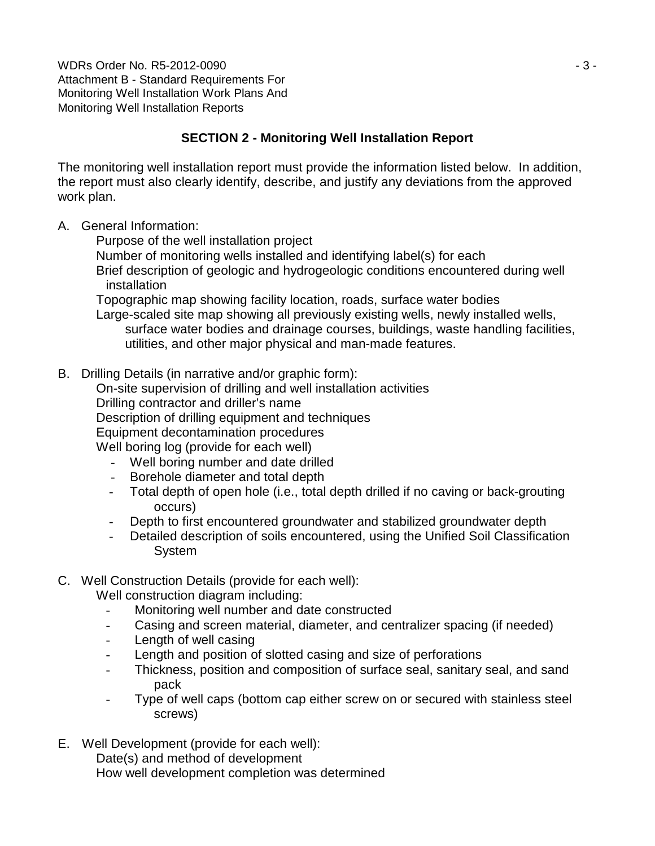WDRs Order No. R5-2012-0090 - 3 - Attachment B - Standard Requirements For Monitoring Well Installation Work Plans And Monitoring Well Installation Reports

# **SECTION 2 - Monitoring Well Installation Report**

The monitoring well installation report must provide the information listed below. In addition, the report must also clearly identify, describe, and justify any deviations from the approved work plan.

- A. General Information:
	- Purpose of the well installation project
	- Number of monitoring wells installed and identifying label(s) for each Brief description of geologic and hydrogeologic conditions encountered during well **installation**

Topographic map showing facility location, roads, surface water bodies

Large-scaled site map showing all previously existing wells, newly installed wells, surface water bodies and drainage courses, buildings, waste handling facilities, utilities, and other major physical and man-made features.

B. Drilling Details (in narrative and/or graphic form):

On-site supervision of drilling and well installation activities Drilling contractor and driller's name Description of drilling equipment and techniques Equipment decontamination procedures

Well boring log (provide for each well)

- Well boring number and date drilled
- Borehole diameter and total depth
- Total depth of open hole (i.e., total depth drilled if no caving or back-grouting occurs)
- Depth to first encountered groundwater and stabilized groundwater depth
- Detailed description of soils encountered, using the Unified Soil Classification System

# C. Well Construction Details (provide for each well):

Well construction diagram including:

- Monitoring well number and date constructed
- Casing and screen material, diameter, and centralizer spacing (if needed)
- Length of well casing
- Length and position of slotted casing and size of perforations
- Thickness, position and composition of surface seal, sanitary seal, and sand pack
- Type of well caps (bottom cap either screw on or secured with stainless steel screws)
- E. Well Development (provide for each well):

Date(s) and method of development How well development completion was determined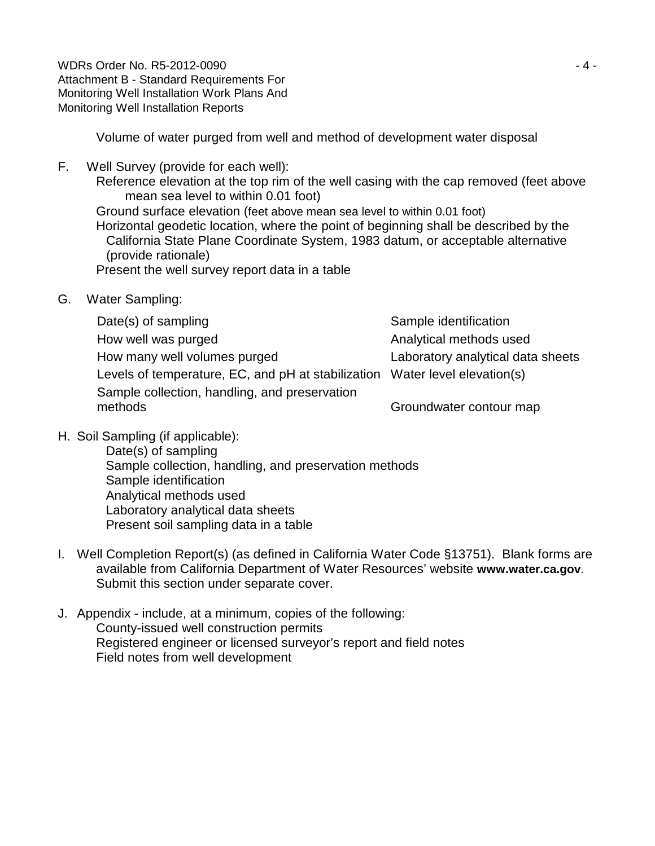WDRs Order No. R5-2012-0090 - 4 - Attachment B - Standard Requirements For Monitoring Well Installation Work Plans And Monitoring Well Installation Reports

Volume of water purged from well and method of development water disposal

- F. Well Survey (provide for each well): Reference elevation at the top rim of the well casing with the cap removed (feet above mean sea level to within 0.01 foot) Ground surface elevation (feet above mean sea level to within 0.01 foot) Horizontal geodetic location, where the point of beginning shall be described by the California State Plane Coordinate System, 1983 datum, or acceptable alternative (provide rationale) Present the well survey report data in a table
- G. Water Sampling:

Date(s) of sampling Date(s) of sampling  $\blacksquare$ How well was purged Analytical methods used How many well volumes purged Laboratory analytical data sheets Levels of temperature, EC, and pH at stabilization Water level elevation(s) Sample collection, handling, and preservation methods Groundwater contour map contour map

H. Soil Sampling (if applicable):

Date(s) of sampling Sample collection, handling, and preservation methods Sample identification Analytical methods used Laboratory analytical data sheets Present soil sampling data in a table

- I. Well Completion Report(s) (as defined in California Water Code §13751). Blank forms are available from California Department of Water Resources' website **www.water.ca.gov**. Submit this section under separate cover.
- J. Appendix include, at a minimum, copies of the following: County-issued well construction permits Registered engineer or licensed surveyor's report and field notes Field notes from well development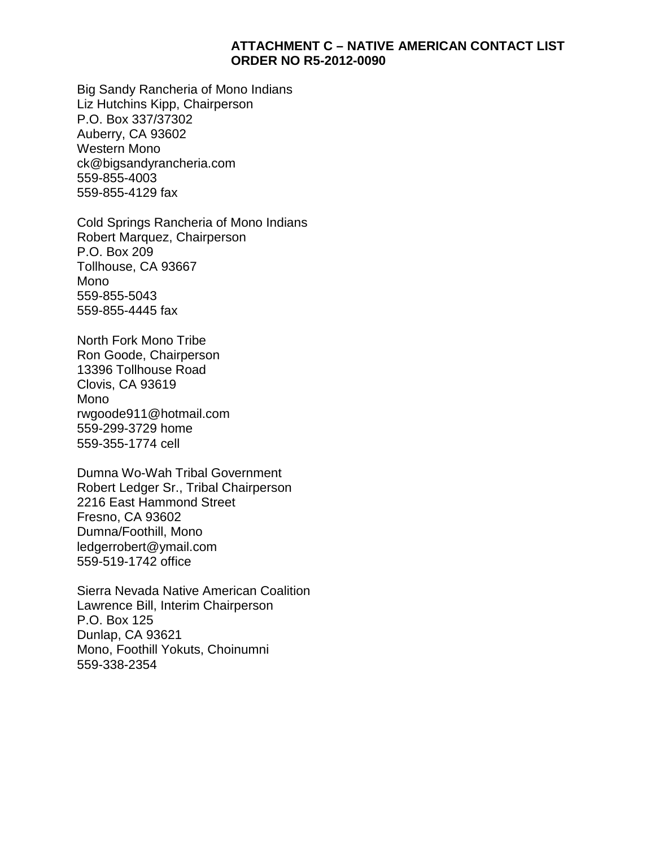#### **ATTACHMENT C – NATIVE AMERICAN CONTACT LIST ORDER NO R5-2012-0090**

Big Sandy Rancheria of Mono Indians Liz Hutchins Kipp, Chairperson P.O. Box 337/37302 Auberry, CA 93602 Western Mono ck@bigsandyrancheria.com 559-855-4003 559-855-4129 fax

Cold Springs Rancheria of Mono Indians Robert Marquez, Chairperson P.O. Box 209 Tollhouse, CA 93667 Mono 559-855-5043 559-855-4445 fax

North Fork Mono Tribe Ron Goode, Chairperson 13396 Tollhouse Road Clovis, CA 93619 Mono rwgoode911@hotmail.com 559-299-3729 home 559-355-1774 cell

Dumna Wo-Wah Tribal Government Robert Ledger Sr., Tribal Chairperson 2216 East Hammond Street Fresno, CA 93602 Dumna/Foothill, Mono ledgerrobert@ymail.com 559-519-1742 office

Sierra Nevada Native American Coalition Lawrence Bill, Interim Chairperson P.O. Box 125 Dunlap, CA 93621 Mono, Foothill Yokuts, Choinumni 559-338-2354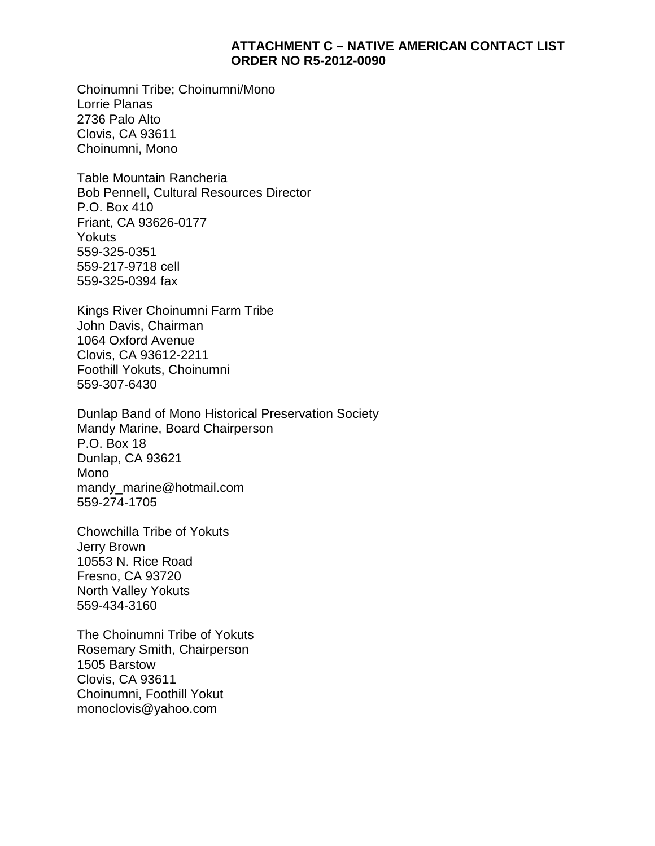#### **ATTACHMENT C – NATIVE AMERICAN CONTACT LIST ORDER NO R5-2012-0090**

Choinumni Tribe; Choinumni/Mono Lorrie Planas 2736 Palo Alto Clovis, CA 93611 Choinumni, Mono

Table Mountain Rancheria Bob Pennell, Cultural Resources Director P.O. Box 410 Friant, CA 93626-0177 **Yokuts** 559-325-0351 559-217-9718 cell 559-325-0394 fax

Kings River Choinumni Farm Tribe John Davis, Chairman 1064 Oxford Avenue Clovis, CA 93612-2211 Foothill Yokuts, Choinumni 559-307-6430

Dunlap Band of Mono Historical Preservation Society Mandy Marine, Board Chairperson P.O. Box 18 Dunlap, CA 93621 Mono mandy\_marine@hotmail.com 559-274-1705

Chowchilla Tribe of Yokuts Jerry Brown 10553 N. Rice Road Fresno, CA 93720 North Valley Yokuts 559-434-3160

The Choinumni Tribe of Yokuts Rosemary Smith, Chairperson 1505 Barstow Clovis, CA 93611 Choinumni, Foothill Yokut monoclovis@yahoo.com